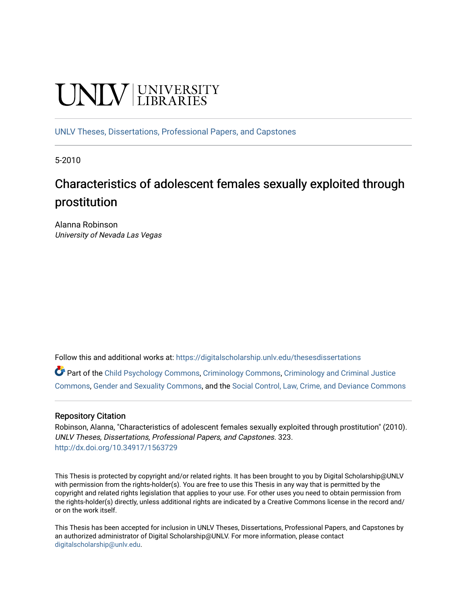# **UNIVERSITY**

[UNLV Theses, Dissertations, Professional Papers, and Capstones](https://digitalscholarship.unlv.edu/thesesdissertations)

5-2010

# Characteristics of adolescent females sexually exploited through prostitution

Alanna Robinson University of Nevada Las Vegas

Follow this and additional works at: [https://digitalscholarship.unlv.edu/thesesdissertations](https://digitalscholarship.unlv.edu/thesesdissertations?utm_source=digitalscholarship.unlv.edu%2Fthesesdissertations%2F323&utm_medium=PDF&utm_campaign=PDFCoverPages)

Part of the [Child Psychology Commons,](http://network.bepress.com/hgg/discipline/1023?utm_source=digitalscholarship.unlv.edu%2Fthesesdissertations%2F323&utm_medium=PDF&utm_campaign=PDFCoverPages) [Criminology Commons](http://network.bepress.com/hgg/discipline/417?utm_source=digitalscholarship.unlv.edu%2Fthesesdissertations%2F323&utm_medium=PDF&utm_campaign=PDFCoverPages), [Criminology and Criminal Justice](http://network.bepress.com/hgg/discipline/367?utm_source=digitalscholarship.unlv.edu%2Fthesesdissertations%2F323&utm_medium=PDF&utm_campaign=PDFCoverPages) [Commons](http://network.bepress.com/hgg/discipline/367?utm_source=digitalscholarship.unlv.edu%2Fthesesdissertations%2F323&utm_medium=PDF&utm_campaign=PDFCoverPages), [Gender and Sexuality Commons,](http://network.bepress.com/hgg/discipline/420?utm_source=digitalscholarship.unlv.edu%2Fthesesdissertations%2F323&utm_medium=PDF&utm_campaign=PDFCoverPages) and the [Social Control, Law, Crime, and Deviance Commons](http://network.bepress.com/hgg/discipline/429?utm_source=digitalscholarship.unlv.edu%2Fthesesdissertations%2F323&utm_medium=PDF&utm_campaign=PDFCoverPages)

## Repository Citation

Robinson, Alanna, "Characteristics of adolescent females sexually exploited through prostitution" (2010). UNLV Theses, Dissertations, Professional Papers, and Capstones. 323. <http://dx.doi.org/10.34917/1563729>

This Thesis is protected by copyright and/or related rights. It has been brought to you by Digital Scholarship@UNLV with permission from the rights-holder(s). You are free to use this Thesis in any way that is permitted by the copyright and related rights legislation that applies to your use. For other uses you need to obtain permission from the rights-holder(s) directly, unless additional rights are indicated by a Creative Commons license in the record and/ or on the work itself.

This Thesis has been accepted for inclusion in UNLV Theses, Dissertations, Professional Papers, and Capstones by an authorized administrator of Digital Scholarship@UNLV. For more information, please contact [digitalscholarship@unlv.edu](mailto:digitalscholarship@unlv.edu).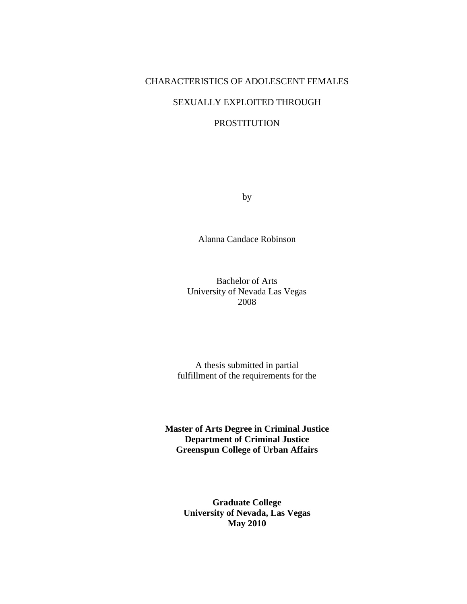## CHARACTERISTICS OF ADOLESCENT FEMALES

# SEXUALLY EXPLOITED THROUGH

# PROSTITUTION

by

Alanna Candace Robinson

Bachelor of Arts University of Nevada Las Vegas 2008

A thesis submitted in partial fulfillment of the requirements for the

**Master of Arts Degree in Criminal Justice Department of Criminal Justice Greenspun College of Urban Affairs** 

> **Graduate College University of Nevada, Las Vegas May 2010**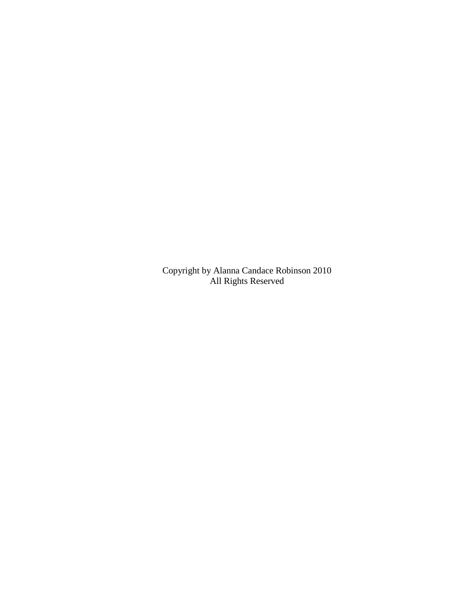Copyright by Alanna Candace Robinson 2010 All Rights Reserved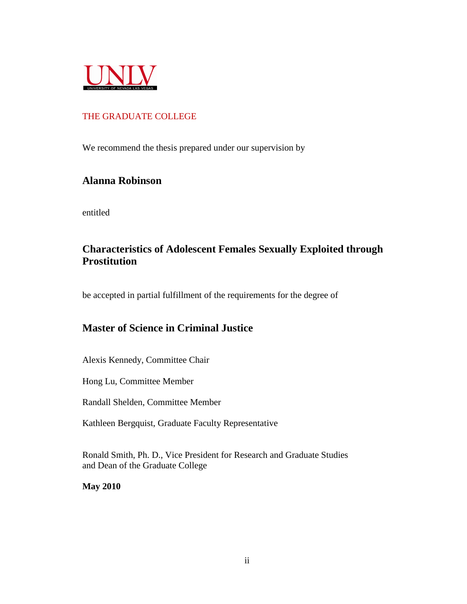

# THE GRADUATE COLLEGE

We recommend the thesis prepared under our supervision by

# **Alanna Robinson**

entitled

# **Characteristics of Adolescent Females Sexually Exploited through Prostitution**

be accepted in partial fulfillment of the requirements for the degree of

# **Master of Science in Criminal Justice**

Alexis Kennedy, Committee Chair

Hong Lu, Committee Member

Randall Shelden, Committee Member

Kathleen Bergquist, Graduate Faculty Representative

Ronald Smith, Ph. D., Vice President for Research and Graduate Studies and Dean of the Graduate College

**May 2010**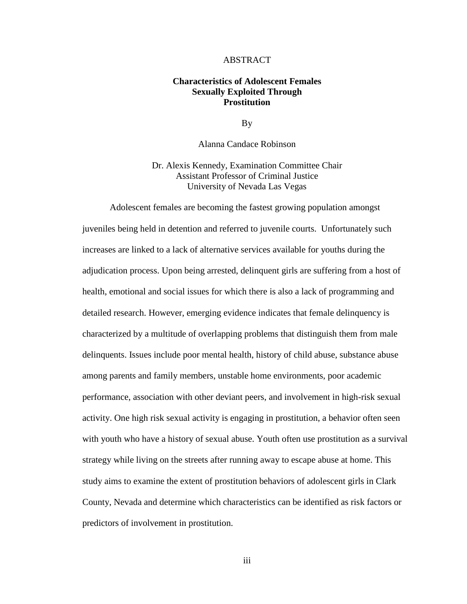#### ABSTRACT

## **Characteristics of Adolescent Females Sexually Exploited Through Prostitution**

By

Alanna Candace Robinson

Dr. Alexis Kennedy, Examination Committee Chair Assistant Professor of Criminal Justice University of Nevada Las Vegas

 Adolescent females are becoming the fastest growing population amongst juveniles being held in detention and referred to juvenile courts. Unfortunately such increases are linked to a lack of alternative services available for youths during the adjudication process. Upon being arrested, delinquent girls are suffering from a host of health, emotional and social issues for which there is also a lack of programming and detailed research. However, emerging evidence indicates that female delinquency is characterized by a multitude of overlapping problems that distinguish them from male delinquents. Issues include poor mental health, history of child abuse, substance abuse among parents and family members, unstable home environments, poor academic performance, association with other deviant peers, and involvement in high-risk sexual activity. One high risk sexual activity is engaging in prostitution, a behavior often seen with youth who have a history of sexual abuse. Youth often use prostitution as a survival strategy while living on the streets after running away to escape abuse at home. This study aims to examine the extent of prostitution behaviors of adolescent girls in Clark County, Nevada and determine which characteristics can be identified as risk factors or predictors of involvement in prostitution.

iii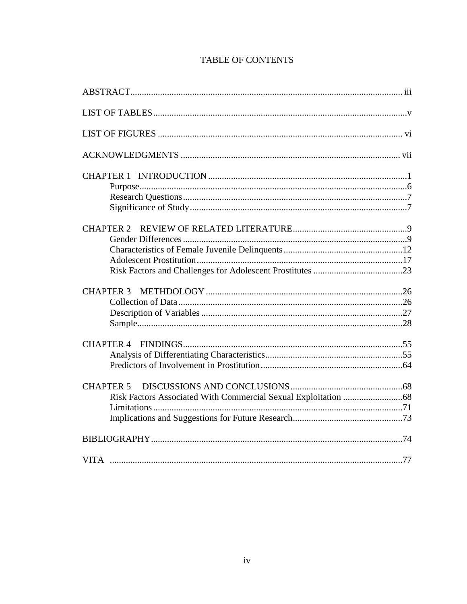| <b>CHAPTER 3</b> |  |
|------------------|--|
|                  |  |
|                  |  |
|                  |  |
|                  |  |
|                  |  |
| <b>CHAPTER 5</b> |  |
|                  |  |
|                  |  |
|                  |  |
|                  |  |
|                  |  |

# **TABLE OF CONTENTS**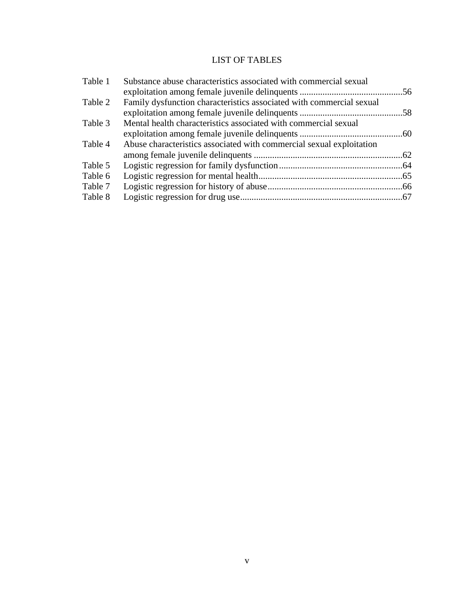# LIST OF TABLES

| Table 1 | Substance abuse characteristics associated with commercial sexual    |  |
|---------|----------------------------------------------------------------------|--|
|         |                                                                      |  |
| Table 2 | Family dysfunction characteristics associated with commercial sexual |  |
|         |                                                                      |  |
| Table 3 | Mental health characteristics associated with commercial sexual      |  |
|         |                                                                      |  |
| Table 4 | Abuse characteristics associated with commercial sexual exploitation |  |
|         |                                                                      |  |
| Table 5 |                                                                      |  |
| Table 6 |                                                                      |  |
| Table 7 |                                                                      |  |
| Table 8 |                                                                      |  |
|         |                                                                      |  |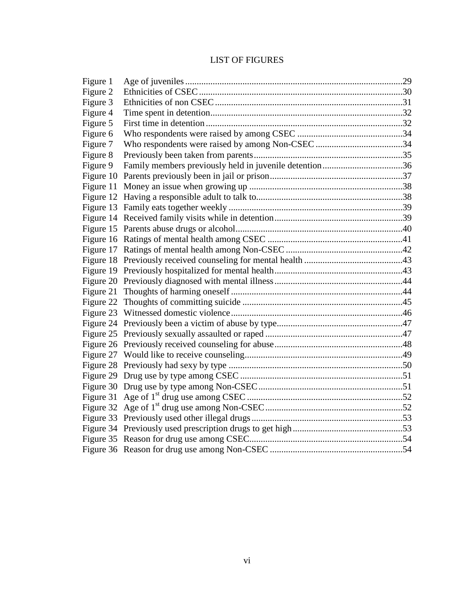# LIST OF FIGURES

| Figure 1 |                                                        |  |
|----------|--------------------------------------------------------|--|
| Figure 2 |                                                        |  |
| Figure 3 |                                                        |  |
| Figure 4 |                                                        |  |
| Figure 5 |                                                        |  |
| Figure 6 |                                                        |  |
| Figure 7 |                                                        |  |
| Figure 8 |                                                        |  |
| Figure 9 | Family members previously held in juvenile detention36 |  |
|          |                                                        |  |
|          |                                                        |  |
|          |                                                        |  |
|          |                                                        |  |
|          |                                                        |  |
|          |                                                        |  |
|          |                                                        |  |
|          |                                                        |  |
|          |                                                        |  |
|          |                                                        |  |
|          |                                                        |  |
|          |                                                        |  |
|          |                                                        |  |
|          |                                                        |  |
|          |                                                        |  |
|          |                                                        |  |
|          |                                                        |  |
|          |                                                        |  |
|          |                                                        |  |
|          |                                                        |  |
|          |                                                        |  |
|          |                                                        |  |
|          |                                                        |  |
|          |                                                        |  |
|          |                                                        |  |
|          |                                                        |  |
|          |                                                        |  |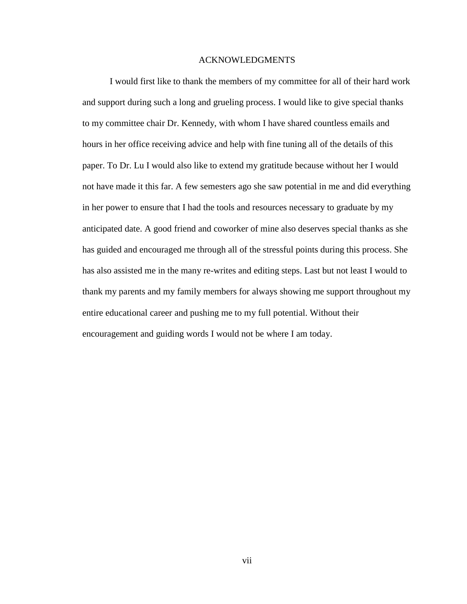## ACKNOWLEDGMENTS

 I would first like to thank the members of my committee for all of their hard work and support during such a long and grueling process. I would like to give special thanks to my committee chair Dr. Kennedy, with whom I have shared countless emails and hours in her office receiving advice and help with fine tuning all of the details of this paper. To Dr. Lu I would also like to extend my gratitude because without her I would not have made it this far. A few semesters ago she saw potential in me and did everything in her power to ensure that I had the tools and resources necessary to graduate by my anticipated date. A good friend and coworker of mine also deserves special thanks as she has guided and encouraged me through all of the stressful points during this process. She has also assisted me in the many re-writes and editing steps. Last but not least I would to thank my parents and my family members for always showing me support throughout my entire educational career and pushing me to my full potential. Without their encouragement and guiding words I would not be where I am today.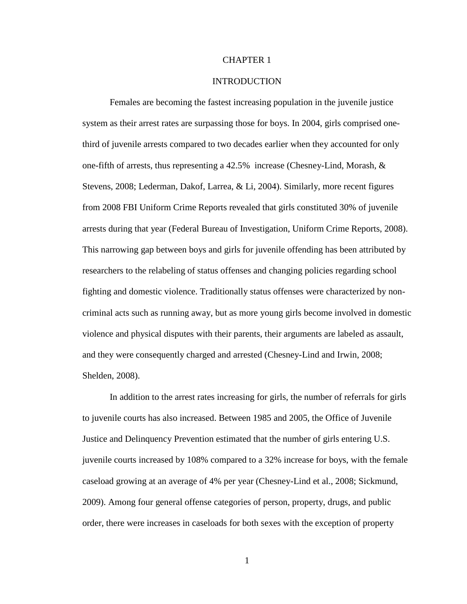#### CHAPTER 1

#### INTRODUCTION

Females are becoming the fastest increasing population in the juvenile justice system as their arrest rates are surpassing those for boys. In 2004, girls comprised onethird of juvenile arrests compared to two decades earlier when they accounted for only one-fifth of arrests, thus representing a 42.5% increase (Chesney-Lind, Morash, & Stevens, 2008; Lederman, Dakof, Larrea, & Li, 2004). Similarly, more recent figures from 2008 FBI Uniform Crime Reports revealed that girls constituted 30% of juvenile arrests during that year (Federal Bureau of Investigation, Uniform Crime Reports, 2008). This narrowing gap between boys and girls for juvenile offending has been attributed by researchers to the relabeling of status offenses and changing policies regarding school fighting and domestic violence. Traditionally status offenses were characterized by noncriminal acts such as running away, but as more young girls become involved in domestic violence and physical disputes with their parents, their arguments are labeled as assault, and they were consequently charged and arrested (Chesney-Lind and Irwin, 2008; Shelden, 2008).

In addition to the arrest rates increasing for girls, the number of referrals for girls to juvenile courts has also increased. Between 1985 and 2005, the Office of Juvenile Justice and Delinquency Prevention estimated that the number of girls entering U.S. juvenile courts increased by 108% compared to a 32% increase for boys, with the female caseload growing at an average of 4% per year (Chesney-Lind et al., 2008; Sickmund, 2009). Among four general offense categories of person, property, drugs, and public order, there were increases in caseloads for both sexes with the exception of property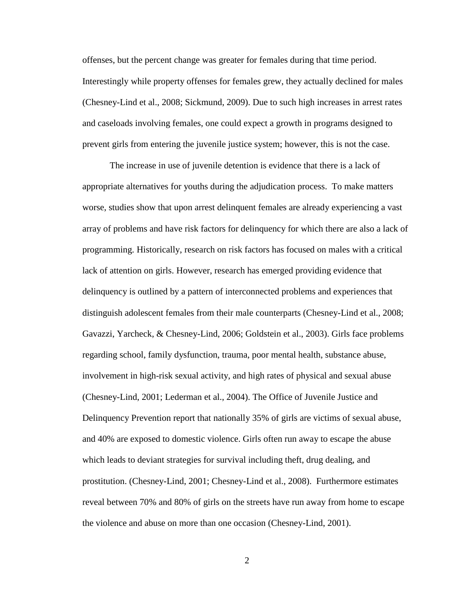offenses, but the percent change was greater for females during that time period. Interestingly while property offenses for females grew, they actually declined for males (Chesney-Lind et al., 2008; Sickmund, 2009). Due to such high increases in arrest rates and caseloads involving females, one could expect a growth in programs designed to prevent girls from entering the juvenile justice system; however, this is not the case.

The increase in use of juvenile detention is evidence that there is a lack of appropriate alternatives for youths during the adjudication process. To make matters worse, studies show that upon arrest delinquent females are already experiencing a vast array of problems and have risk factors for delinquency for which there are also a lack of programming. Historically, research on risk factors has focused on males with a critical lack of attention on girls. However, research has emerged providing evidence that delinquency is outlined by a pattern of interconnected problems and experiences that distinguish adolescent females from their male counterparts (Chesney-Lind et al., 2008; Gavazzi, Yarcheck, & Chesney-Lind, 2006; Goldstein et al., 2003). Girls face problems regarding school, family dysfunction, trauma, poor mental health, substance abuse, involvement in high-risk sexual activity, and high rates of physical and sexual abuse (Chesney-Lind, 2001; Lederman et al., 2004). The Office of Juvenile Justice and Delinquency Prevention report that nationally 35% of girls are victims of sexual abuse, and 40% are exposed to domestic violence. Girls often run away to escape the abuse which leads to deviant strategies for survival including theft, drug dealing, and prostitution. (Chesney-Lind, 2001; Chesney-Lind et al., 2008). Furthermore estimates reveal between 70% and 80% of girls on the streets have run away from home to escape the violence and abuse on more than one occasion (Chesney-Lind, 2001).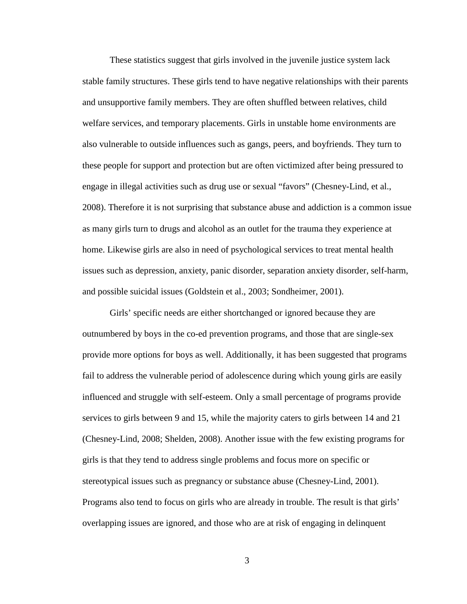These statistics suggest that girls involved in the juvenile justice system lack stable family structures. These girls tend to have negative relationships with their parents and unsupportive family members. They are often shuffled between relatives, child welfare services, and temporary placements. Girls in unstable home environments are also vulnerable to outside influences such as gangs, peers, and boyfriends. They turn to these people for support and protection but are often victimized after being pressured to engage in illegal activities such as drug use or sexual "favors" (Chesney-Lind, et al., 2008). Therefore it is not surprising that substance abuse and addiction is a common issue as many girls turn to drugs and alcohol as an outlet for the trauma they experience at home. Likewise girls are also in need of psychological services to treat mental health issues such as depression, anxiety, panic disorder, separation anxiety disorder, self-harm, and possible suicidal issues (Goldstein et al., 2003; Sondheimer, 2001).

Girls' specific needs are either shortchanged or ignored because they are outnumbered by boys in the co-ed prevention programs, and those that are single-sex provide more options for boys as well. Additionally, it has been suggested that programs fail to address the vulnerable period of adolescence during which young girls are easily influenced and struggle with self-esteem. Only a small percentage of programs provide services to girls between 9 and 15, while the majority caters to girls between 14 and 21 (Chesney-Lind, 2008; Shelden, 2008). Another issue with the few existing programs for girls is that they tend to address single problems and focus more on specific or stereotypical issues such as pregnancy or substance abuse (Chesney-Lind, 2001). Programs also tend to focus on girls who are already in trouble. The result is that girls' overlapping issues are ignored, and those who are at risk of engaging in delinquent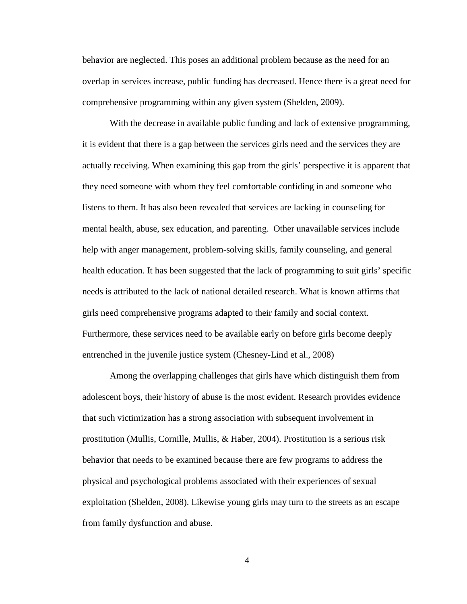behavior are neglected. This poses an additional problem because as the need for an overlap in services increase, public funding has decreased. Hence there is a great need for comprehensive programming within any given system (Shelden, 2009).

With the decrease in available public funding and lack of extensive programming, it is evident that there is a gap between the services girls need and the services they are actually receiving. When examining this gap from the girls' perspective it is apparent that they need someone with whom they feel comfortable confiding in and someone who listens to them. It has also been revealed that services are lacking in counseling for mental health, abuse, sex education, and parenting. Other unavailable services include help with anger management, problem-solving skills, family counseling, and general health education. It has been suggested that the lack of programming to suit girls' specific needs is attributed to the lack of national detailed research. What is known affirms that girls need comprehensive programs adapted to their family and social context. Furthermore, these services need to be available early on before girls become deeply entrenched in the juvenile justice system (Chesney-Lind et al., 2008)

 Among the overlapping challenges that girls have which distinguish them from adolescent boys, their history of abuse is the most evident. Research provides evidence that such victimization has a strong association with subsequent involvement in prostitution (Mullis, Cornille, Mullis, & Haber, 2004). Prostitution is a serious risk behavior that needs to be examined because there are few programs to address the physical and psychological problems associated with their experiences of sexual exploitation (Shelden, 2008). Likewise young girls may turn to the streets as an escape from family dysfunction and abuse.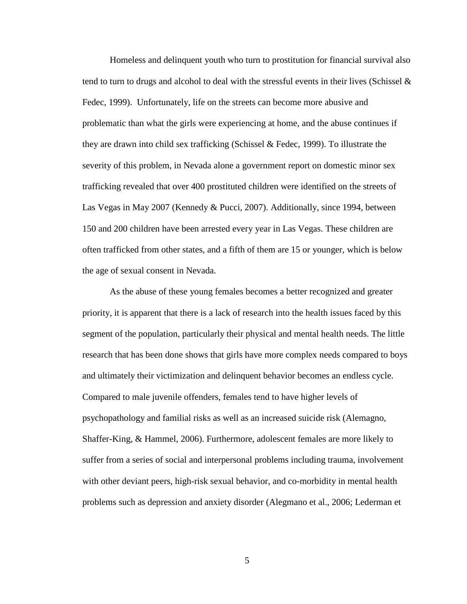Homeless and delinquent youth who turn to prostitution for financial survival also tend to turn to drugs and alcohol to deal with the stressful events in their lives (Schissel & Fedec, 1999). Unfortunately, life on the streets can become more abusive and problematic than what the girls were experiencing at home, and the abuse continues if they are drawn into child sex trafficking (Schissel & Fedec, 1999). To illustrate the severity of this problem, in Nevada alone a government report on domestic minor sex trafficking revealed that over 400 prostituted children were identified on the streets of Las Vegas in May 2007 (Kennedy & Pucci, 2007). Additionally, since 1994, between 150 and 200 children have been arrested every year in Las Vegas. These children are often trafficked from other states, and a fifth of them are 15 or younger, which is below the age of sexual consent in Nevada.

 As the abuse of these young females becomes a better recognized and greater priority, it is apparent that there is a lack of research into the health issues faced by this segment of the population, particularly their physical and mental health needs. The little research that has been done shows that girls have more complex needs compared to boys and ultimately their victimization and delinquent behavior becomes an endless cycle. Compared to male juvenile offenders, females tend to have higher levels of psychopathology and familial risks as well as an increased suicide risk (Alemagno, Shaffer-King, & Hammel, 2006). Furthermore, adolescent females are more likely to suffer from a series of social and interpersonal problems including trauma, involvement with other deviant peers, high-risk sexual behavior, and co-morbidity in mental health problems such as depression and anxiety disorder (Alegmano et al., 2006; Lederman et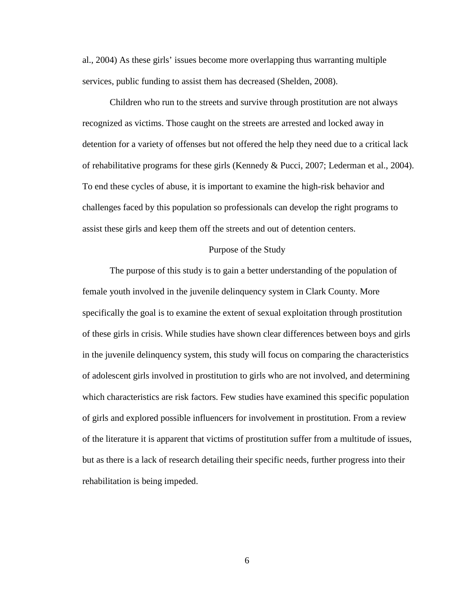al., 2004) As these girls' issues become more overlapping thus warranting multiple services, public funding to assist them has decreased (Shelden, 2008).

Children who run to the streets and survive through prostitution are not always recognized as victims. Those caught on the streets are arrested and locked away in detention for a variety of offenses but not offered the help they need due to a critical lack of rehabilitative programs for these girls (Kennedy & Pucci, 2007; Lederman et al., 2004). To end these cycles of abuse, it is important to examine the high-risk behavior and challenges faced by this population so professionals can develop the right programs to assist these girls and keep them off the streets and out of detention centers.

#### Purpose of the Study

 The purpose of this study is to gain a better understanding of the population of female youth involved in the juvenile delinquency system in Clark County. More specifically the goal is to examine the extent of sexual exploitation through prostitution of these girls in crisis. While studies have shown clear differences between boys and girls in the juvenile delinquency system, this study will focus on comparing the characteristics of adolescent girls involved in prostitution to girls who are not involved, and determining which characteristics are risk factors. Few studies have examined this specific population of girls and explored possible influencers for involvement in prostitution. From a review of the literature it is apparent that victims of prostitution suffer from a multitude of issues, but as there is a lack of research detailing their specific needs, further progress into their rehabilitation is being impeded.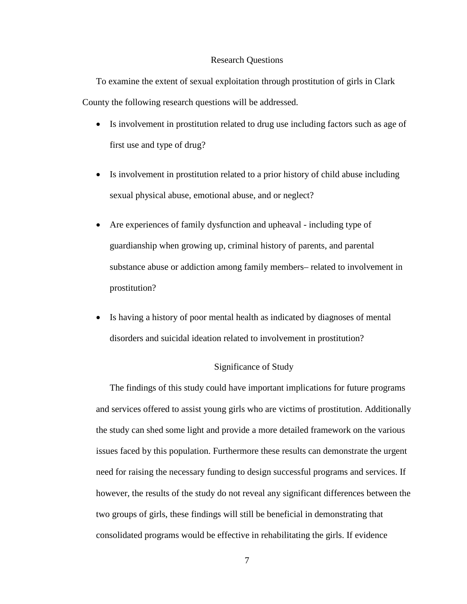#### Research Questions

To examine the extent of sexual exploitation through prostitution of girls in Clark County the following research questions will be addressed.

- Is involvement in prostitution related to drug use including factors such as age of first use and type of drug?
- Is involvement in prostitution related to a prior history of child abuse including sexual physical abuse, emotional abuse, and or neglect?
- Are experiences of family dysfunction and upheaval including type of guardianship when growing up, criminal history of parents, and parental substance abuse or addiction among family members– related to involvement in prostitution?
- Is having a history of poor mental health as indicated by diagnoses of mental disorders and suicidal ideation related to involvement in prostitution?

## Significance of Study

 The findings of this study could have important implications for future programs and services offered to assist young girls who are victims of prostitution. Additionally the study can shed some light and provide a more detailed framework on the various issues faced by this population. Furthermore these results can demonstrate the urgent need for raising the necessary funding to design successful programs and services. If however, the results of the study do not reveal any significant differences between the two groups of girls, these findings will still be beneficial in demonstrating that consolidated programs would be effective in rehabilitating the girls. If evidence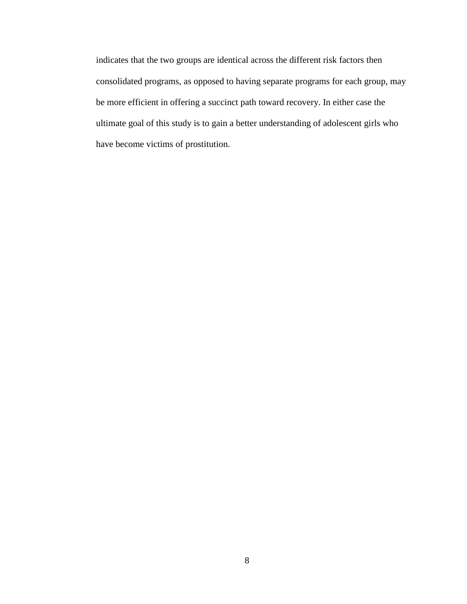indicates that the two groups are identical across the different risk factors then consolidated programs, as opposed to having separate programs for each group, may be more efficient in offering a succinct path toward recovery. In either case the ultimate goal of this study is to gain a better understanding of adolescent girls who have become victims of prostitution.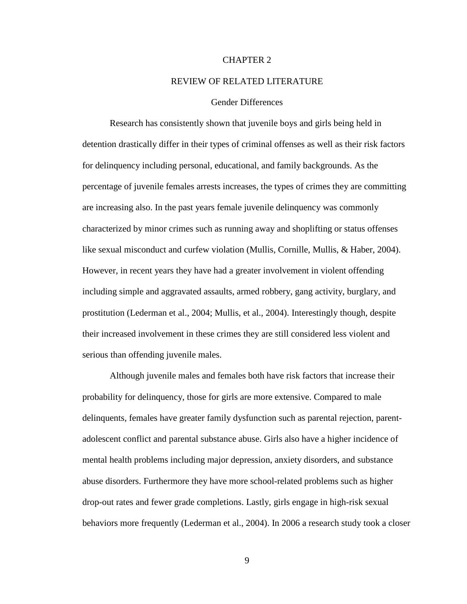#### CHAPTER 2

#### REVIEW OF RELATED LITERATURE

## Gender Differences

Research has consistently shown that juvenile boys and girls being held in detention drastically differ in their types of criminal offenses as well as their risk factors for delinquency including personal, educational, and family backgrounds. As the percentage of juvenile females arrests increases, the types of crimes they are committing are increasing also. In the past years female juvenile delinquency was commonly characterized by minor crimes such as running away and shoplifting or status offenses like sexual misconduct and curfew violation (Mullis, Cornille, Mullis, & Haber, 2004). However, in recent years they have had a greater involvement in violent offending including simple and aggravated assaults, armed robbery, gang activity, burglary, and prostitution (Lederman et al., 2004; Mullis, et al., 2004). Interestingly though, despite their increased involvement in these crimes they are still considered less violent and serious than offending juvenile males.

 Although juvenile males and females both have risk factors that increase their probability for delinquency, those for girls are more extensive. Compared to male delinquents, females have greater family dysfunction such as parental rejection, parentadolescent conflict and parental substance abuse. Girls also have a higher incidence of mental health problems including major depression, anxiety disorders, and substance abuse disorders. Furthermore they have more school-related problems such as higher drop-out rates and fewer grade completions. Lastly, girls engage in high-risk sexual behaviors more frequently (Lederman et al., 2004). In 2006 a research study took a closer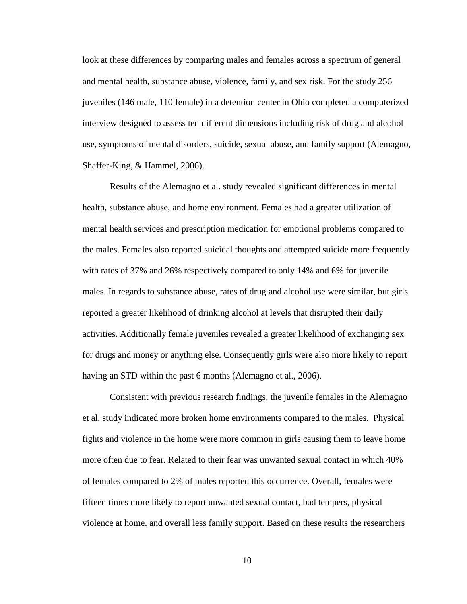look at these differences by comparing males and females across a spectrum of general and mental health, substance abuse, violence, family, and sex risk. For the study 256 juveniles (146 male, 110 female) in a detention center in Ohio completed a computerized interview designed to assess ten different dimensions including risk of drug and alcohol use, symptoms of mental disorders, suicide, sexual abuse, and family support (Alemagno, Shaffer-King, & Hammel, 2006).

 Results of the Alemagno et al. study revealed significant differences in mental health, substance abuse, and home environment. Females had a greater utilization of mental health services and prescription medication for emotional problems compared to the males. Females also reported suicidal thoughts and attempted suicide more frequently with rates of 37% and 26% respectively compared to only 14% and 6% for juvenile males. In regards to substance abuse, rates of drug and alcohol use were similar, but girls reported a greater likelihood of drinking alcohol at levels that disrupted their daily activities. Additionally female juveniles revealed a greater likelihood of exchanging sex for drugs and money or anything else. Consequently girls were also more likely to report having an STD within the past 6 months (Alemagno et al., 2006).

 Consistent with previous research findings, the juvenile females in the Alemagno et al. study indicated more broken home environments compared to the males. Physical fights and violence in the home were more common in girls causing them to leave home more often due to fear. Related to their fear was unwanted sexual contact in which 40% of females compared to 2% of males reported this occurrence. Overall, females were fifteen times more likely to report unwanted sexual contact, bad tempers, physical violence at home, and overall less family support. Based on these results the researchers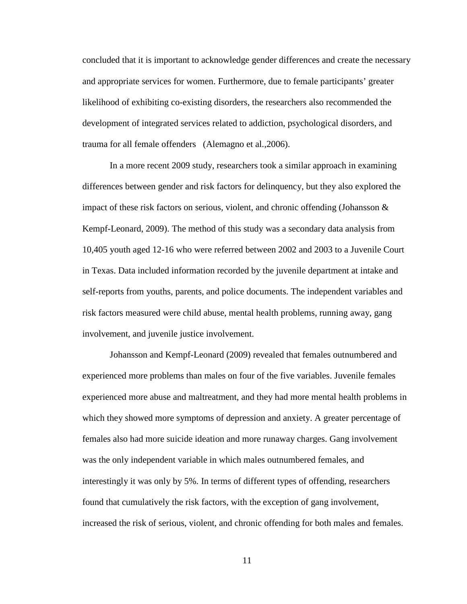concluded that it is important to acknowledge gender differences and create the necessary and appropriate services for women. Furthermore, due to female participants' greater likelihood of exhibiting co-existing disorders, the researchers also recommended the development of integrated services related to addiction, psychological disorders, and trauma for all female offenders (Alemagno et al.,2006).

 In a more recent 2009 study, researchers took a similar approach in examining differences between gender and risk factors for delinquency, but they also explored the impact of these risk factors on serious, violent, and chronic offending (Johansson & Kempf-Leonard, 2009). The method of this study was a secondary data analysis from 10,405 youth aged 12-16 who were referred between 2002 and 2003 to a Juvenile Court in Texas. Data included information recorded by the juvenile department at intake and self-reports from youths, parents, and police documents. The independent variables and risk factors measured were child abuse, mental health problems, running away, gang involvement, and juvenile justice involvement.

Johansson and Kempf-Leonard (2009) revealed that females outnumbered and experienced more problems than males on four of the five variables. Juvenile females experienced more abuse and maltreatment, and they had more mental health problems in which they showed more symptoms of depression and anxiety. A greater percentage of females also had more suicide ideation and more runaway charges. Gang involvement was the only independent variable in which males outnumbered females, and interestingly it was only by 5%. In terms of different types of offending, researchers found that cumulatively the risk factors, with the exception of gang involvement, increased the risk of serious, violent, and chronic offending for both males and females.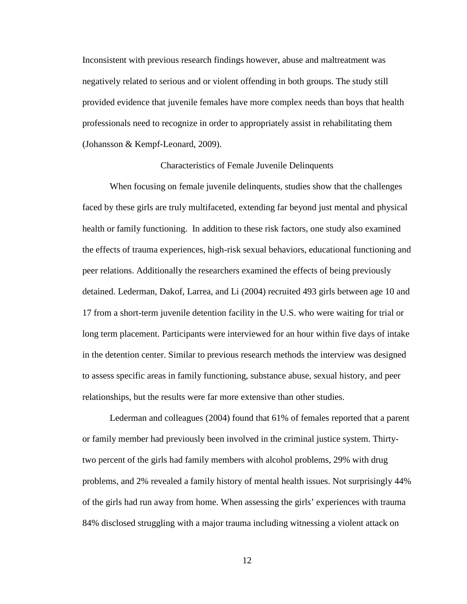Inconsistent with previous research findings however, abuse and maltreatment was negatively related to serious and or violent offending in both groups. The study still provided evidence that juvenile females have more complex needs than boys that health professionals need to recognize in order to appropriately assist in rehabilitating them (Johansson & Kempf-Leonard, 2009).

#### Characteristics of Female Juvenile Delinquents

When focusing on female juvenile delinquents, studies show that the challenges faced by these girls are truly multifaceted, extending far beyond just mental and physical health or family functioning. In addition to these risk factors, one study also examined the effects of trauma experiences, high-risk sexual behaviors, educational functioning and peer relations. Additionally the researchers examined the effects of being previously detained. Lederman, Dakof, Larrea, and Li (2004) recruited 493 girls between age 10 and 17 from a short-term juvenile detention facility in the U.S. who were waiting for trial or long term placement. Participants were interviewed for an hour within five days of intake in the detention center. Similar to previous research methods the interview was designed to assess specific areas in family functioning, substance abuse, sexual history, and peer relationships, but the results were far more extensive than other studies.

Lederman and colleagues (2004) found that 61% of females reported that a parent or family member had previously been involved in the criminal justice system. Thirtytwo percent of the girls had family members with alcohol problems, 29% with drug problems, and 2% revealed a family history of mental health issues. Not surprisingly 44% of the girls had run away from home. When assessing the girls' experiences with trauma 84% disclosed struggling with a major trauma including witnessing a violent attack on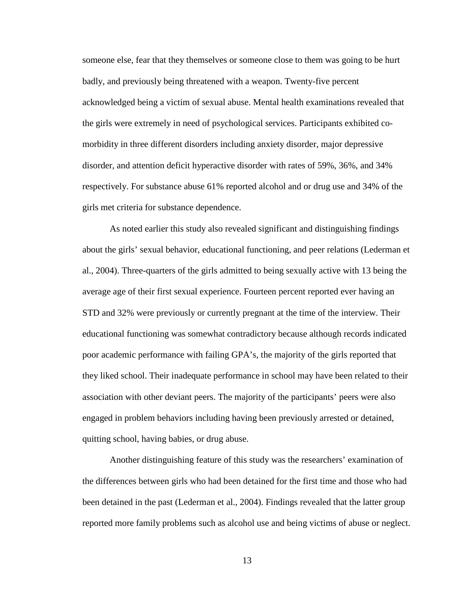someone else, fear that they themselves or someone close to them was going to be hurt badly, and previously being threatened with a weapon. Twenty-five percent acknowledged being a victim of sexual abuse. Mental health examinations revealed that the girls were extremely in need of psychological services. Participants exhibited comorbidity in three different disorders including anxiety disorder, major depressive disorder, and attention deficit hyperactive disorder with rates of 59%, 36%, and 34% respectively. For substance abuse 61% reported alcohol and or drug use and 34% of the girls met criteria for substance dependence.

As noted earlier this study also revealed significant and distinguishing findings about the girls' sexual behavior, educational functioning, and peer relations (Lederman et al., 2004). Three-quarters of the girls admitted to being sexually active with 13 being the average age of their first sexual experience. Fourteen percent reported ever having an STD and 32% were previously or currently pregnant at the time of the interview. Their educational functioning was somewhat contradictory because although records indicated poor academic performance with failing GPA's, the majority of the girls reported that they liked school. Their inadequate performance in school may have been related to their association with other deviant peers. The majority of the participants' peers were also engaged in problem behaviors including having been previously arrested or detained, quitting school, having babies, or drug abuse.

Another distinguishing feature of this study was the researchers' examination of the differences between girls who had been detained for the first time and those who had been detained in the past (Lederman et al., 2004). Findings revealed that the latter group reported more family problems such as alcohol use and being victims of abuse or neglect.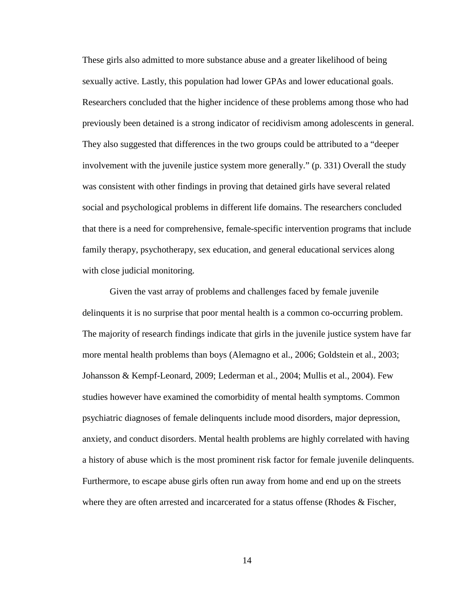These girls also admitted to more substance abuse and a greater likelihood of being sexually active. Lastly, this population had lower GPAs and lower educational goals. Researchers concluded that the higher incidence of these problems among those who had previously been detained is a strong indicator of recidivism among adolescents in general. They also suggested that differences in the two groups could be attributed to a "deeper involvement with the juvenile justice system more generally." (p. 331) Overall the study was consistent with other findings in proving that detained girls have several related social and psychological problems in different life domains. The researchers concluded that there is a need for comprehensive, female-specific intervention programs that include family therapy, psychotherapy, sex education, and general educational services along with close judicial monitoring.

Given the vast array of problems and challenges faced by female juvenile delinquents it is no surprise that poor mental health is a common co-occurring problem. The majority of research findings indicate that girls in the juvenile justice system have far more mental health problems than boys (Alemagno et al., 2006; Goldstein et al., 2003; Johansson & Kempf-Leonard, 2009; Lederman et al., 2004; Mullis et al., 2004). Few studies however have examined the comorbidity of mental health symptoms. Common psychiatric diagnoses of female delinquents include mood disorders, major depression, anxiety, and conduct disorders. Mental health problems are highly correlated with having a history of abuse which is the most prominent risk factor for female juvenile delinquents. Furthermore, to escape abuse girls often run away from home and end up on the streets where they are often arrested and incarcerated for a status offense (Rhodes  $\&$  Fischer,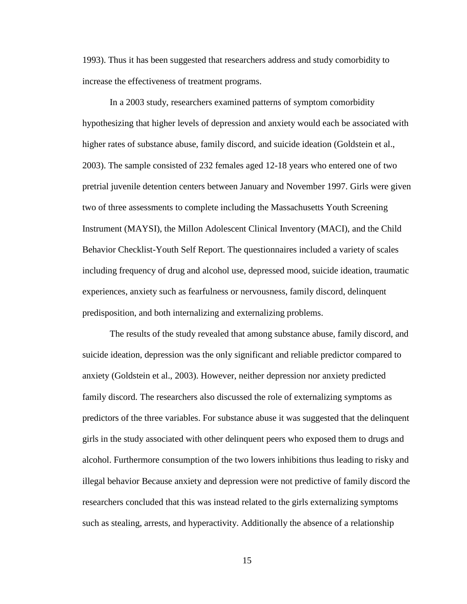1993). Thus it has been suggested that researchers address and study comorbidity to increase the effectiveness of treatment programs.

In a 2003 study, researchers examined patterns of symptom comorbidity hypothesizing that higher levels of depression and anxiety would each be associated with higher rates of substance abuse, family discord, and suicide ideation (Goldstein et al., 2003). The sample consisted of 232 females aged 12-18 years who entered one of two pretrial juvenile detention centers between January and November 1997. Girls were given two of three assessments to complete including the Massachusetts Youth Screening Instrument (MAYSI), the Millon Adolescent Clinical Inventory (MACI), and the Child Behavior Checklist-Youth Self Report. The questionnaires included a variety of scales including frequency of drug and alcohol use, depressed mood, suicide ideation, traumatic experiences, anxiety such as fearfulness or nervousness, family discord, delinquent predisposition, and both internalizing and externalizing problems.

The results of the study revealed that among substance abuse, family discord, and suicide ideation, depression was the only significant and reliable predictor compared to anxiety (Goldstein et al., 2003). However, neither depression nor anxiety predicted family discord. The researchers also discussed the role of externalizing symptoms as predictors of the three variables. For substance abuse it was suggested that the delinquent girls in the study associated with other delinquent peers who exposed them to drugs and alcohol. Furthermore consumption of the two lowers inhibitions thus leading to risky and illegal behavior Because anxiety and depression were not predictive of family discord the researchers concluded that this was instead related to the girls externalizing symptoms such as stealing, arrests, and hyperactivity. Additionally the absence of a relationship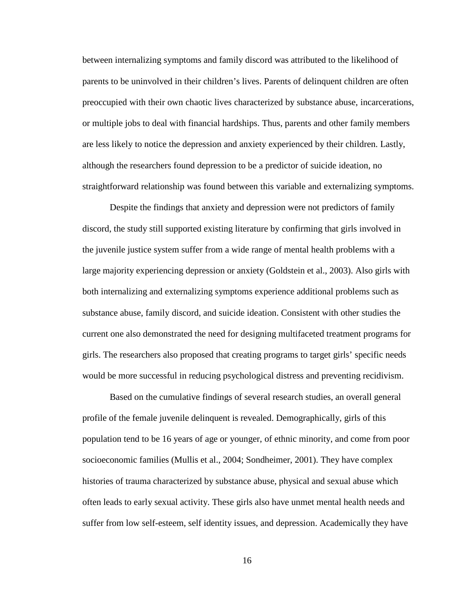between internalizing symptoms and family discord was attributed to the likelihood of parents to be uninvolved in their children's lives. Parents of delinquent children are often preoccupied with their own chaotic lives characterized by substance abuse, incarcerations, or multiple jobs to deal with financial hardships. Thus, parents and other family members are less likely to notice the depression and anxiety experienced by their children. Lastly, although the researchers found depression to be a predictor of suicide ideation, no straightforward relationship was found between this variable and externalizing symptoms.

Despite the findings that anxiety and depression were not predictors of family discord, the study still supported existing literature by confirming that girls involved in the juvenile justice system suffer from a wide range of mental health problems with a large majority experiencing depression or anxiety (Goldstein et al., 2003). Also girls with both internalizing and externalizing symptoms experience additional problems such as substance abuse, family discord, and suicide ideation. Consistent with other studies the current one also demonstrated the need for designing multifaceted treatment programs for girls. The researchers also proposed that creating programs to target girls' specific needs would be more successful in reducing psychological distress and preventing recidivism.

Based on the cumulative findings of several research studies, an overall general profile of the female juvenile delinquent is revealed. Demographically, girls of this population tend to be 16 years of age or younger, of ethnic minority, and come from poor socioeconomic families (Mullis et al., 2004; Sondheimer, 2001). They have complex histories of trauma characterized by substance abuse, physical and sexual abuse which often leads to early sexual activity. These girls also have unmet mental health needs and suffer from low self-esteem, self identity issues, and depression. Academically they have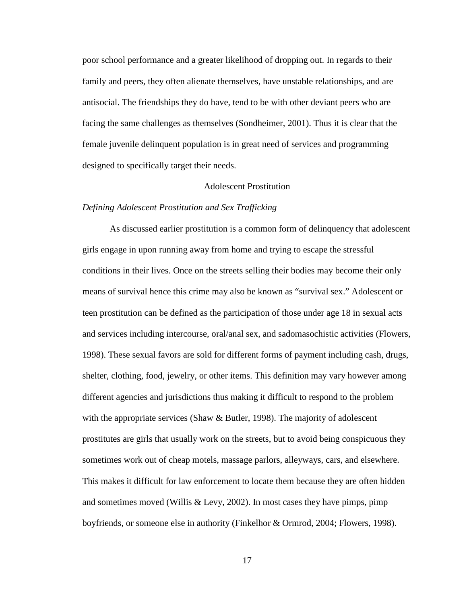poor school performance and a greater likelihood of dropping out. In regards to their family and peers, they often alienate themselves, have unstable relationships, and are antisocial. The friendships they do have, tend to be with other deviant peers who are facing the same challenges as themselves (Sondheimer, 2001). Thus it is clear that the female juvenile delinquent population is in great need of services and programming designed to specifically target their needs.

### Adolescent Prostitution

#### *Defining Adolescent Prostitution and Sex Trafficking*

As discussed earlier prostitution is a common form of delinquency that adolescent girls engage in upon running away from home and trying to escape the stressful conditions in their lives. Once on the streets selling their bodies may become their only means of survival hence this crime may also be known as "survival sex." Adolescent or teen prostitution can be defined as the participation of those under age 18 in sexual acts and services including intercourse, oral/anal sex, and sadomasochistic activities (Flowers, 1998). These sexual favors are sold for different forms of payment including cash, drugs, shelter, clothing, food, jewelry, or other items. This definition may vary however among different agencies and jurisdictions thus making it difficult to respond to the problem with the appropriate services (Shaw & Butler, 1998). The majority of adolescent prostitutes are girls that usually work on the streets, but to avoid being conspicuous they sometimes work out of cheap motels, massage parlors, alleyways, cars, and elsewhere. This makes it difficult for law enforcement to locate them because they are often hidden and sometimes moved (Willis & Levy, 2002). In most cases they have pimps, pimp boyfriends, or someone else in authority (Finkelhor & Ormrod, 2004; Flowers, 1998).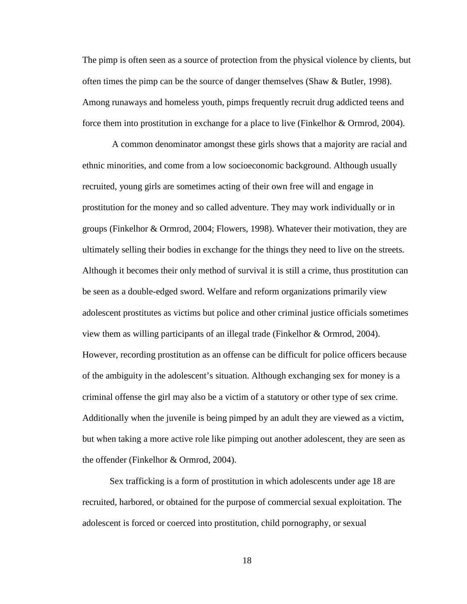The pimp is often seen as a source of protection from the physical violence by clients, but often times the pimp can be the source of danger themselves (Shaw & Butler, 1998). Among runaways and homeless youth, pimps frequently recruit drug addicted teens and force them into prostitution in exchange for a place to live (Finkelhor & Ormrod, 2004).

 A common denominator amongst these girls shows that a majority are racial and ethnic minorities, and come from a low socioeconomic background. Although usually recruited, young girls are sometimes acting of their own free will and engage in prostitution for the money and so called adventure. They may work individually or in groups (Finkelhor & Ormrod, 2004; Flowers, 1998). Whatever their motivation, they are ultimately selling their bodies in exchange for the things they need to live on the streets. Although it becomes their only method of survival it is still a crime, thus prostitution can be seen as a double-edged sword. Welfare and reform organizations primarily view adolescent prostitutes as victims but police and other criminal justice officials sometimes view them as willing participants of an illegal trade (Finkelhor & Ormrod, 2004). However, recording prostitution as an offense can be difficult for police officers because of the ambiguity in the adolescent's situation. Although exchanging sex for money is a criminal offense the girl may also be a victim of a statutory or other type of sex crime. Additionally when the juvenile is being pimped by an adult they are viewed as a victim, but when taking a more active role like pimping out another adolescent, they are seen as the offender (Finkelhor & Ormrod, 2004).

 Sex trafficking is a form of prostitution in which adolescents under age 18 are recruited, harbored, or obtained for the purpose of commercial sexual exploitation. The adolescent is forced or coerced into prostitution, child pornography, or sexual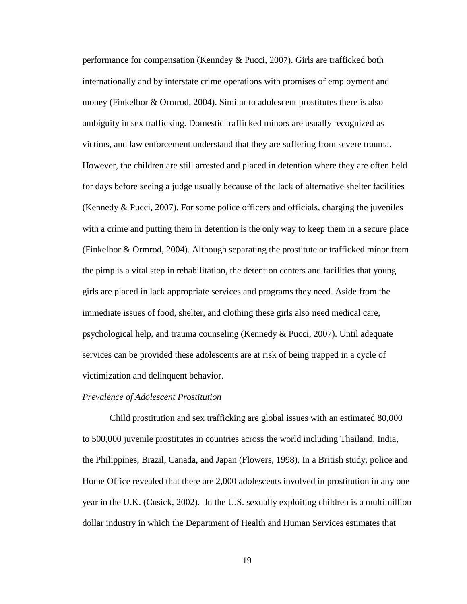performance for compensation (Kenndey & Pucci, 2007). Girls are trafficked both internationally and by interstate crime operations with promises of employment and money (Finkelhor & Ormrod, 2004). Similar to adolescent prostitutes there is also ambiguity in sex trafficking. Domestic trafficked minors are usually recognized as victims, and law enforcement understand that they are suffering from severe trauma. However, the children are still arrested and placed in detention where they are often held for days before seeing a judge usually because of the lack of alternative shelter facilities (Kennedy & Pucci, 2007). For some police officers and officials, charging the juveniles with a crime and putting them in detention is the only way to keep them in a secure place (Finkelhor & Ormrod, 2004). Although separating the prostitute or trafficked minor from the pimp is a vital step in rehabilitation, the detention centers and facilities that young girls are placed in lack appropriate services and programs they need. Aside from the immediate issues of food, shelter, and clothing these girls also need medical care, psychological help, and trauma counseling (Kennedy & Pucci, 2007). Until adequate services can be provided these adolescents are at risk of being trapped in a cycle of victimization and delinquent behavior.

#### *Prevalence of Adolescent Prostitution*

Child prostitution and sex trafficking are global issues with an estimated 80,000 to 500,000 juvenile prostitutes in countries across the world including Thailand, India, the Philippines, Brazil, Canada, and Japan (Flowers, 1998). In a British study, police and Home Office revealed that there are 2,000 adolescents involved in prostitution in any one year in the U.K. (Cusick, 2002). In the U.S. sexually exploiting children is a multimillion dollar industry in which the Department of Health and Human Services estimates that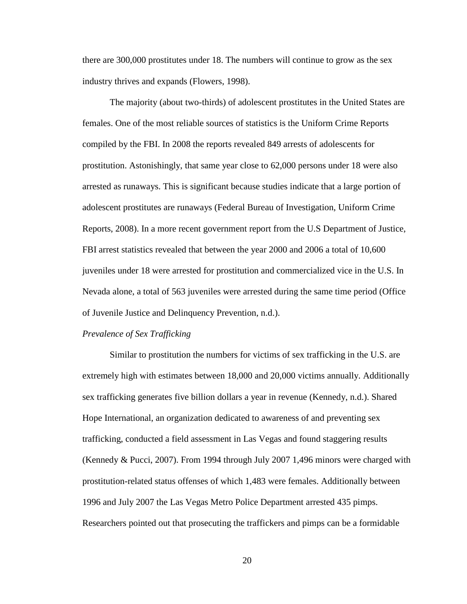there are 300,000 prostitutes under 18. The numbers will continue to grow as the sex industry thrives and expands (Flowers, 1998).

The majority (about two-thirds) of adolescent prostitutes in the United States are females. One of the most reliable sources of statistics is the Uniform Crime Reports compiled by the FBI. In 2008 the reports revealed 849 arrests of adolescents for prostitution. Astonishingly, that same year close to 62,000 persons under 18 were also arrested as runaways. This is significant because studies indicate that a large portion of adolescent prostitutes are runaways (Federal Bureau of Investigation, Uniform Crime Reports, 2008). In a more recent government report from the U.S Department of Justice, FBI arrest statistics revealed that between the year 2000 and 2006 a total of 10,600 juveniles under 18 were arrested for prostitution and commercialized vice in the U.S. In Nevada alone, a total of 563 juveniles were arrested during the same time period (Office of Juvenile Justice and Delinquency Prevention, n.d.).

#### *Prevalence of Sex Trafficking*

Similar to prostitution the numbers for victims of sex trafficking in the U.S. are extremely high with estimates between 18,000 and 20,000 victims annually. Additionally sex trafficking generates five billion dollars a year in revenue (Kennedy, n.d.). Shared Hope International, an organization dedicated to awareness of and preventing sex trafficking, conducted a field assessment in Las Vegas and found staggering results (Kennedy & Pucci, 2007). From 1994 through July 2007 1,496 minors were charged with prostitution-related status offenses of which 1,483 were females. Additionally between 1996 and July 2007 the Las Vegas Metro Police Department arrested 435 pimps. Researchers pointed out that prosecuting the traffickers and pimps can be a formidable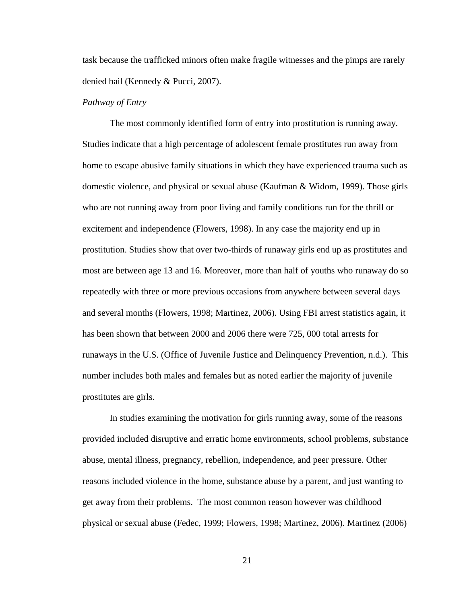task because the trafficked minors often make fragile witnesses and the pimps are rarely denied bail (Kennedy & Pucci, 2007).

#### *Pathway of Entry*

The most commonly identified form of entry into prostitution is running away. Studies indicate that a high percentage of adolescent female prostitutes run away from home to escape abusive family situations in which they have experienced trauma such as domestic violence, and physical or sexual abuse (Kaufman & Widom, 1999). Those girls who are not running away from poor living and family conditions run for the thrill or excitement and independence (Flowers, 1998). In any case the majority end up in prostitution. Studies show that over two-thirds of runaway girls end up as prostitutes and most are between age 13 and 16. Moreover, more than half of youths who runaway do so repeatedly with three or more previous occasions from anywhere between several days and several months (Flowers, 1998; Martinez, 2006). Using FBI arrest statistics again, it has been shown that between 2000 and 2006 there were 725, 000 total arrests for runaways in the U.S. (Office of Juvenile Justice and Delinquency Prevention, n.d.). This number includes both males and females but as noted earlier the majority of juvenile prostitutes are girls.

 In studies examining the motivation for girls running away, some of the reasons provided included disruptive and erratic home environments, school problems, substance abuse, mental illness, pregnancy, rebellion, independence, and peer pressure. Other reasons included violence in the home, substance abuse by a parent, and just wanting to get away from their problems. The most common reason however was childhood physical or sexual abuse (Fedec, 1999; Flowers, 1998; Martinez, 2006). Martinez (2006)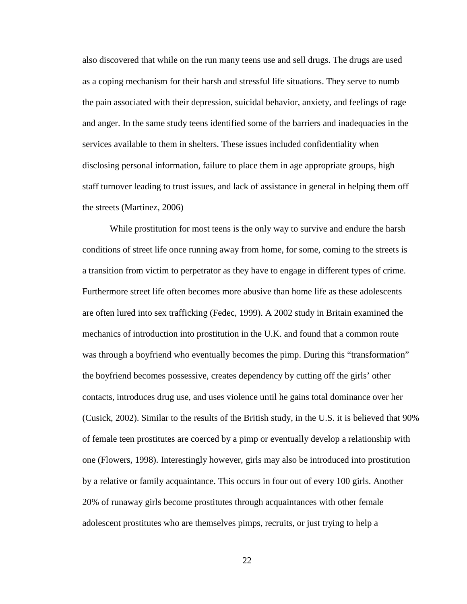also discovered that while on the run many teens use and sell drugs. The drugs are used as a coping mechanism for their harsh and stressful life situations. They serve to numb the pain associated with their depression, suicidal behavior, anxiety, and feelings of rage and anger. In the same study teens identified some of the barriers and inadequacies in the services available to them in shelters. These issues included confidentiality when disclosing personal information, failure to place them in age appropriate groups, high staff turnover leading to trust issues, and lack of assistance in general in helping them off the streets (Martinez, 2006)

While prostitution for most teens is the only way to survive and endure the harsh conditions of street life once running away from home, for some, coming to the streets is a transition from victim to perpetrator as they have to engage in different types of crime. Furthermore street life often becomes more abusive than home life as these adolescents are often lured into sex trafficking (Fedec, 1999). A 2002 study in Britain examined the mechanics of introduction into prostitution in the U.K. and found that a common route was through a boyfriend who eventually becomes the pimp. During this "transformation" the boyfriend becomes possessive, creates dependency by cutting off the girls' other contacts, introduces drug use, and uses violence until he gains total dominance over her (Cusick, 2002). Similar to the results of the British study, in the U.S. it is believed that 90% of female teen prostitutes are coerced by a pimp or eventually develop a relationship with one (Flowers, 1998). Interestingly however, girls may also be introduced into prostitution by a relative or family acquaintance. This occurs in four out of every 100 girls. Another 20% of runaway girls become prostitutes through acquaintances with other female adolescent prostitutes who are themselves pimps, recruits, or just trying to help a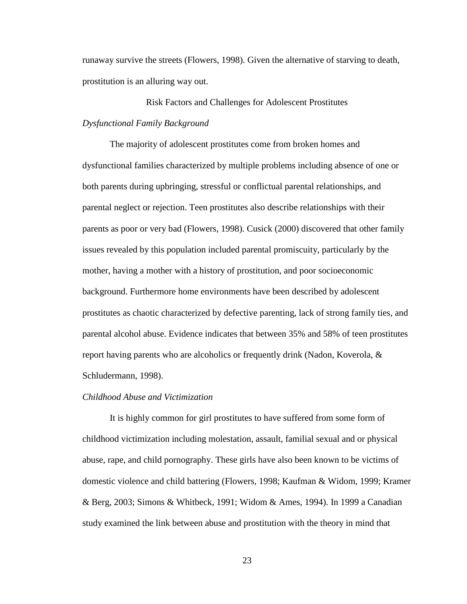runaway survive the streets (Flowers, 1998). Given the alternative of starving to death, prostitution is an alluring way out.

Risk Factors and Challenges for Adolescent Prostitutes *Dysfunctional Family Background* 

The majority of adolescent prostitutes come from broken homes and dysfunctional families characterized by multiple problems including absence of one or both parents during upbringing, stressful or conflictual parental relationships, and parental neglect or rejection. Teen prostitutes also describe relationships with their parents as poor or very bad (Flowers, 1998). Cusick (2000) discovered that other family issues revealed by this population included parental promiscuity, particularly by the mother, having a mother with a history of prostitution, and poor socioeconomic background. Furthermore home environments have been described by adolescent prostitutes as chaotic characterized by defective parenting, lack of strong family ties, and parental alcohol abuse. Evidence indicates that between 35% and 58% of teen prostitutes report having parents who are alcoholics or frequently drink (Nadon, Koverola, & Schludermann, 1998).

#### *Childhood Abuse and Victimization*

It is highly common for girl prostitutes to have suffered from some form of childhood victimization including molestation, assault, familial sexual and or physical abuse, rape, and child pornography. These girls have also been known to be victims of domestic violence and child battering (Flowers, 1998; Kaufman & Widom, 1999; Kramer & Berg, 2003; Simons & Whitbeck, 1991; Widom & Ames, 1994). In 1999 a Canadian study examined the link between abuse and prostitution with the theory in mind that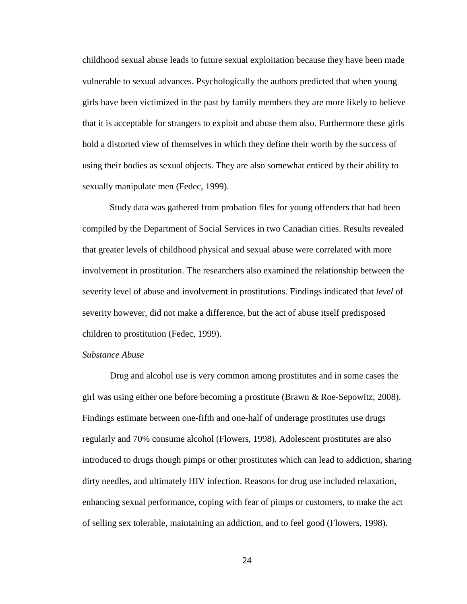childhood sexual abuse leads to future sexual exploitation because they have been made vulnerable to sexual advances. Psychologically the authors predicted that when young girls have been victimized in the past by family members they are more likely to believe that it is acceptable for strangers to exploit and abuse them also. Furthermore these girls hold a distorted view of themselves in which they define their worth by the success of using their bodies as sexual objects. They are also somewhat enticed by their ability to sexually manipulate men (Fedec, 1999).

Study data was gathered from probation files for young offenders that had been compiled by the Department of Social Services in two Canadian cities. Results revealed that greater levels of childhood physical and sexual abuse were correlated with more involvement in prostitution. The researchers also examined the relationship between the severity level of abuse and involvement in prostitutions. Findings indicated that *level* of severity however, did not make a difference, but the act of abuse itself predisposed children to prostitution (Fedec, 1999).

## *Substance Abuse*

Drug and alcohol use is very common among prostitutes and in some cases the girl was using either one before becoming a prostitute (Brawn & Roe-Sepowitz, 2008). Findings estimate between one-fifth and one-half of underage prostitutes use drugs regularly and 70% consume alcohol (Flowers, 1998). Adolescent prostitutes are also introduced to drugs though pimps or other prostitutes which can lead to addiction, sharing dirty needles, and ultimately HIV infection. Reasons for drug use included relaxation, enhancing sexual performance, coping with fear of pimps or customers, to make the act of selling sex tolerable, maintaining an addiction, and to feel good (Flowers, 1998).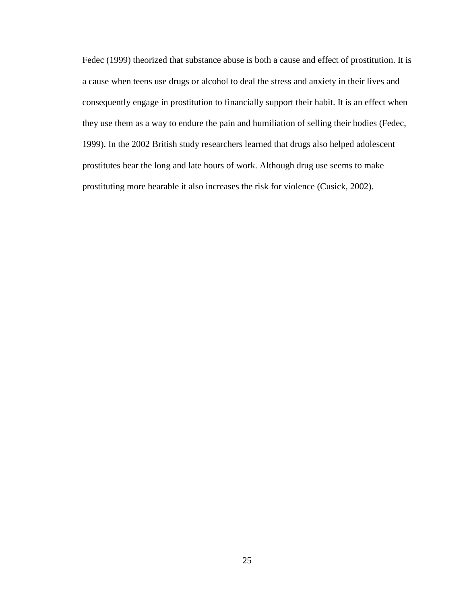Fedec (1999) theorized that substance abuse is both a cause and effect of prostitution. It is a cause when teens use drugs or alcohol to deal the stress and anxiety in their lives and consequently engage in prostitution to financially support their habit. It is an effect when they use them as a way to endure the pain and humiliation of selling their bodies (Fedec, 1999). In the 2002 British study researchers learned that drugs also helped adolescent prostitutes bear the long and late hours of work. Although drug use seems to make prostituting more bearable it also increases the risk for violence (Cusick, 2002).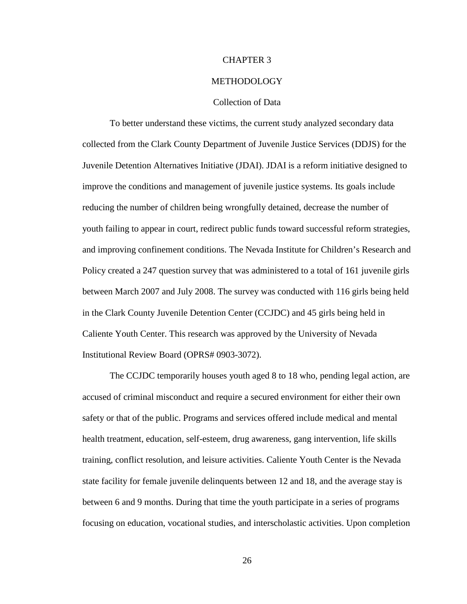#### CHAPTER 3

#### METHODOLOGY

#### Collection of Data

To better understand these victims, the current study analyzed secondary data collected from the Clark County Department of Juvenile Justice Services (DDJS) for the Juvenile Detention Alternatives Initiative (JDAI). JDAI is a reform initiative designed to improve the conditions and management of juvenile justice systems. Its goals include reducing the number of children being wrongfully detained, decrease the number of youth failing to appear in court, redirect public funds toward successful reform strategies, and improving confinement conditions. The Nevada Institute for Children's Research and Policy created a 247 question survey that was administered to a total of 161 juvenile girls between March 2007 and July 2008. The survey was conducted with 116 girls being held in the Clark County Juvenile Detention Center (CCJDC) and 45 girls being held in Caliente Youth Center. This research was approved by the University of Nevada Institutional Review Board (OPRS# 0903-3072).

The CCJDC temporarily houses youth aged 8 to 18 who, pending legal action, are accused of criminal misconduct and require a secured environment for either their own safety or that of the public. Programs and services offered include medical and mental health treatment, education, self-esteem, drug awareness, gang intervention, life skills training, conflict resolution, and leisure activities. Caliente Youth Center is the Nevada state facility for female juvenile delinquents between 12 and 18, and the average stay is between 6 and 9 months. During that time the youth participate in a series of programs focusing on education, vocational studies, and interscholastic activities. Upon completion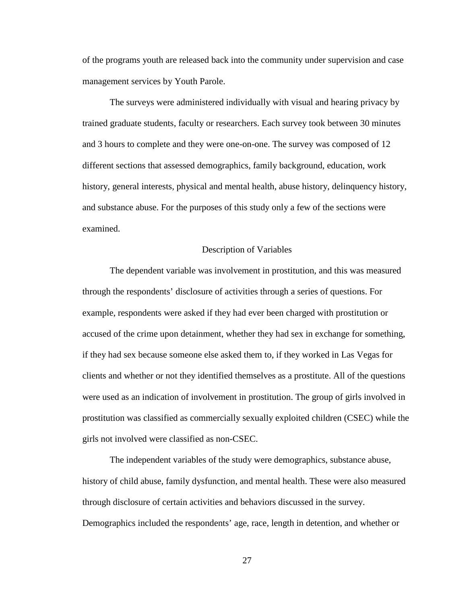of the programs youth are released back into the community under supervision and case management services by Youth Parole.

The surveys were administered individually with visual and hearing privacy by trained graduate students, faculty or researchers. Each survey took between 30 minutes and 3 hours to complete and they were one-on-one. The survey was composed of 12 different sections that assessed demographics, family background, education, work history, general interests, physical and mental health, abuse history, delinquency history, and substance abuse. For the purposes of this study only a few of the sections were examined.

#### Description of Variables

The dependent variable was involvement in prostitution, and this was measured through the respondents' disclosure of activities through a series of questions. For example, respondents were asked if they had ever been charged with prostitution or accused of the crime upon detainment, whether they had sex in exchange for something, if they had sex because someone else asked them to, if they worked in Las Vegas for clients and whether or not they identified themselves as a prostitute. All of the questions were used as an indication of involvement in prostitution. The group of girls involved in prostitution was classified as commercially sexually exploited children (CSEC) while the girls not involved were classified as non-CSEC.

The independent variables of the study were demographics, substance abuse, history of child abuse, family dysfunction, and mental health. These were also measured through disclosure of certain activities and behaviors discussed in the survey. Demographics included the respondents' age, race, length in detention, and whether or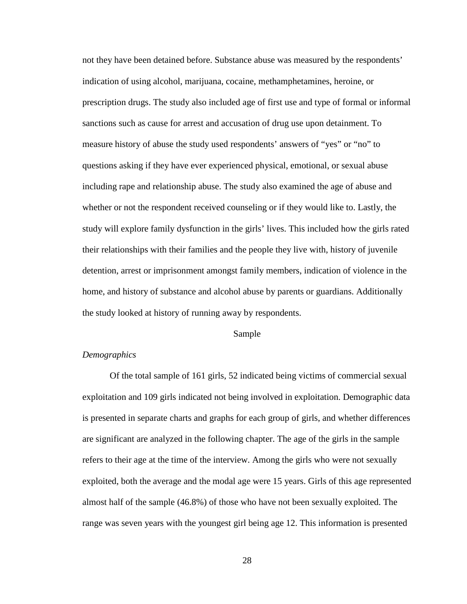not they have been detained before. Substance abuse was measured by the respondents' indication of using alcohol, marijuana, cocaine, methamphetamines, heroine, or prescription drugs. The study also included age of first use and type of formal or informal sanctions such as cause for arrest and accusation of drug use upon detainment. To measure history of abuse the study used respondents' answers of "yes" or "no" to questions asking if they have ever experienced physical, emotional, or sexual abuse including rape and relationship abuse. The study also examined the age of abuse and whether or not the respondent received counseling or if they would like to. Lastly, the study will explore family dysfunction in the girls' lives. This included how the girls rated their relationships with their families and the people they live with, history of juvenile detention, arrest or imprisonment amongst family members, indication of violence in the home, and history of substance and alcohol abuse by parents or guardians. Additionally the study looked at history of running away by respondents.

#### Sample

## *Demographics*

Of the total sample of 161 girls, 52 indicated being victims of commercial sexual exploitation and 109 girls indicated not being involved in exploitation. Demographic data is presented in separate charts and graphs for each group of girls, and whether differences are significant are analyzed in the following chapter. The age of the girls in the sample refers to their age at the time of the interview. Among the girls who were not sexually exploited, both the average and the modal age were 15 years. Girls of this age represented almost half of the sample (46.8%) of those who have not been sexually exploited. The range was seven years with the youngest girl being age 12. This information is presented

28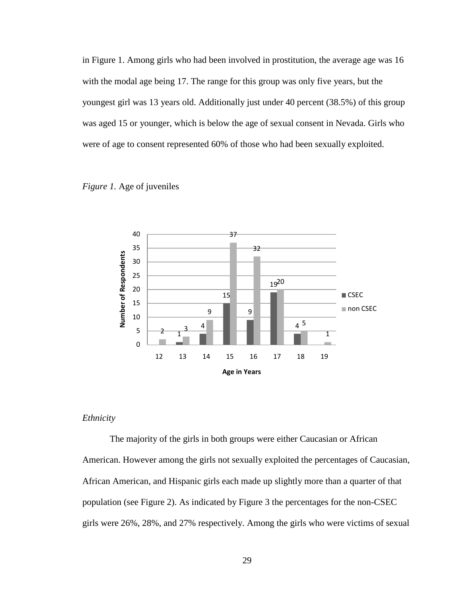in Figure 1. Among girls who had been involved in prostitution, the average age was 16 with the modal age being 17. The range for this group was only five years, but the youngest girl was 13 years old. Additionally just under 40 percent (38.5%) of this group was aged 15 or younger, which is below the age of sexual consent in Nevada. Girls who were of age to consent represented 60% of those who had been sexually exploited.





#### *Ethnicity*

 The majority of the girls in both groups were either Caucasian or African American. However among the girls not sexually exploited the percentages of Caucasian, African American, and Hispanic girls each made up slightly more than a quarter of that population (see Figure 2). As indicated by Figure 3 the percentages for the non-CSEC girls were 26%, 28%, and 27% respectively. Among the girls who were victims of sexual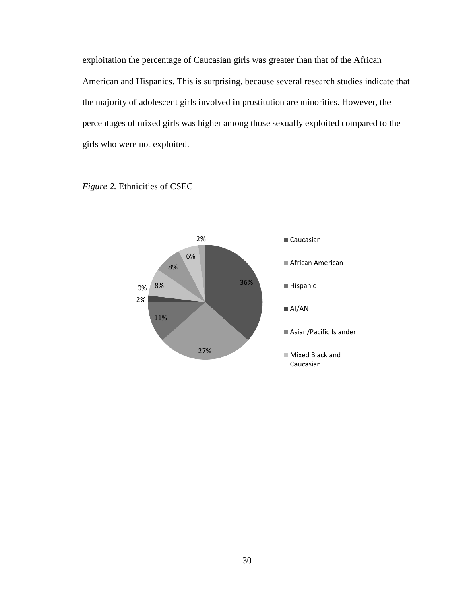exploitation the percentage of Caucasian girls was greater than that of the African American and Hispanics. This is surprising, because several research studies indicate that the majority of adolescent girls involved in prostitution are minorities. However, the percentages of mixed girls was higher among those sexually exploited compared to the girls who were not exploited.

> 36% 27% 11% 2% 0% 8% 8% 6% 2% Caucasian ■ African American Hispanic AI/AN Asian/Pacific Islander Mixed Black and Caucasian

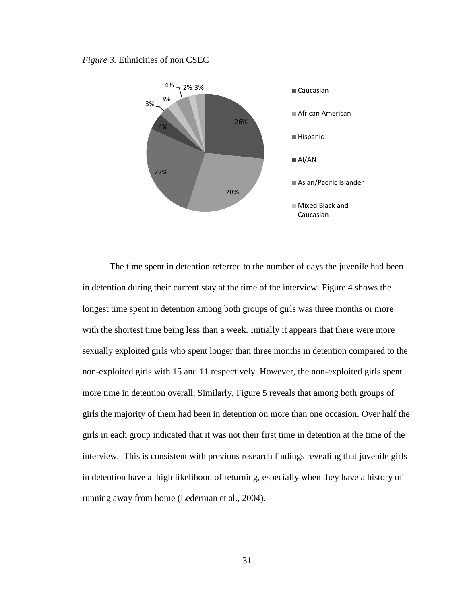#### *Figure 3.* Ethnicities of non CSEC



The time spent in detention referred to the number of days the juvenile had been in detention during their current stay at the time of the interview. Figure 4 shows the longest time spent in detention among both groups of girls was three months or more with the shortest time being less than a week. Initially it appears that there were more sexually exploited girls who spent longer than three months in detention compared to the non-exploited girls with 15 and 11 respectively. However, the non-exploited girls spent more time in detention overall. Similarly, Figure 5 reveals that among both groups of girls the majority of them had been in detention on more than one occasion. Over half the girls in each group indicated that it was not their first time in detention at the time of the interview. This is consistent with previous research findings revealing that juvenile girls in detention have a high likelihood of returning, especially when they have a history of running away from home (Lederman et al., 2004).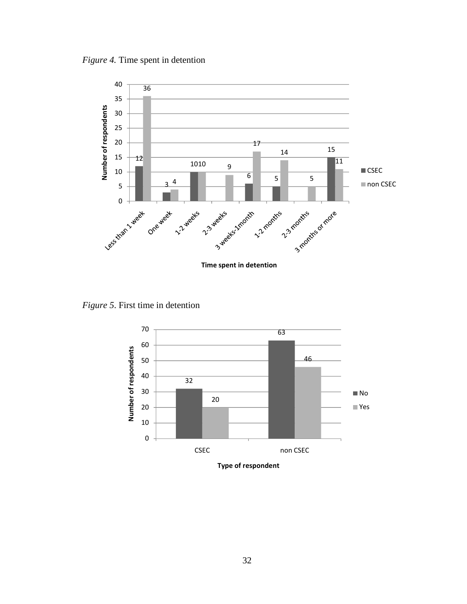*Figure 4.* Time spent in detention



*Figure 5*. First time in detention



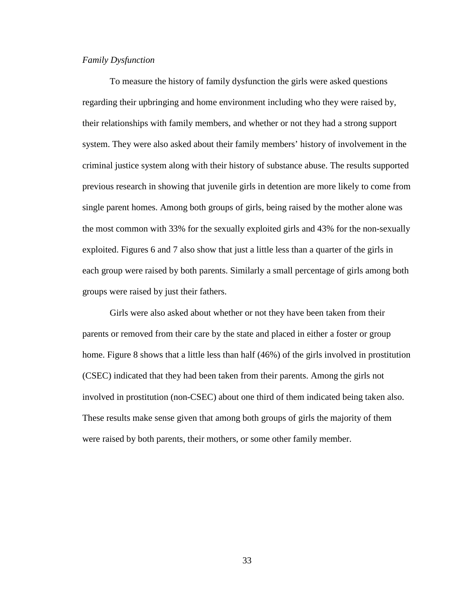## *Family Dysfunction*

To measure the history of family dysfunction the girls were asked questions regarding their upbringing and home environment including who they were raised by, their relationships with family members, and whether or not they had a strong support system. They were also asked about their family members' history of involvement in the criminal justice system along with their history of substance abuse. The results supported previous research in showing that juvenile girls in detention are more likely to come from single parent homes. Among both groups of girls, being raised by the mother alone was the most common with 33% for the sexually exploited girls and 43% for the non-sexually exploited. Figures 6 and 7 also show that just a little less than a quarter of the girls in each group were raised by both parents. Similarly a small percentage of girls among both groups were raised by just their fathers.

Girls were also asked about whether or not they have been taken from their parents or removed from their care by the state and placed in either a foster or group home. Figure 8 shows that a little less than half (46%) of the girls involved in prostitution (CSEC) indicated that they had been taken from their parents. Among the girls not involved in prostitution (non-CSEC) about one third of them indicated being taken also. These results make sense given that among both groups of girls the majority of them were raised by both parents, their mothers, or some other family member.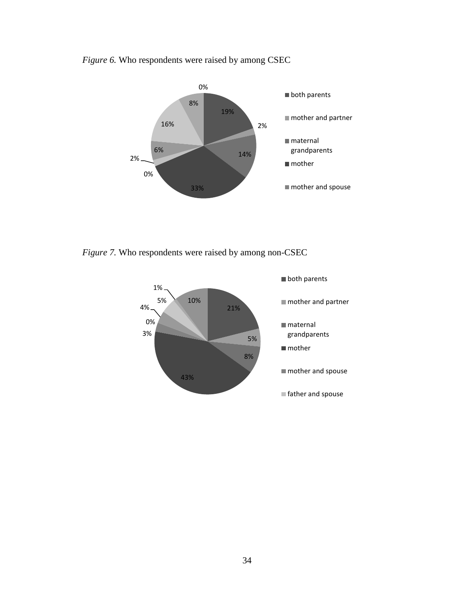*Figure 6.* Who respondents were raised by among CSEC



*Figure 7.* Who respondents were raised by among non-CSEC

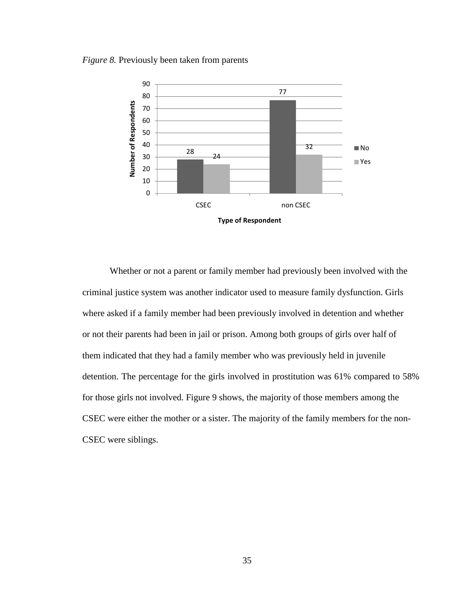## *Figure 8.* Previously been taken from parents



 Whether or not a parent or family member had previously been involved with the criminal justice system was another indicator used to measure family dysfunction. Girls where asked if a family member had been previously involved in detention and whether or not their parents had been in jail or prison. Among both groups of girls over half of them indicated that they had a family member who was previously held in juvenile detention. The percentage for the girls involved in prostitution was 61% compared to 58% for those girls not involved. Figure 9 shows, the majority of those members among the CSEC were either the mother or a sister. The majority of the family members for the non-CSEC were siblings.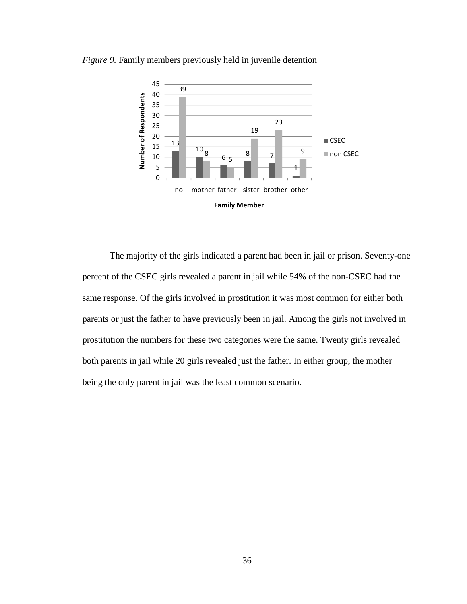

*Figure 9.* Family members previously held in juvenile detention

The majority of the girls indicated a parent had been in jail or prison. Seventy-one percent of the CSEC girls revealed a parent in jail while 54% of the non-CSEC had the same response. Of the girls involved in prostitution it was most common for either both parents or just the father to have previously been in jail. Among the girls not involved in prostitution the numbers for these two categories were the same. Twenty girls revealed both parents in jail while 20 girls revealed just the father. In either group, the mother being the only parent in jail was the least common scenario.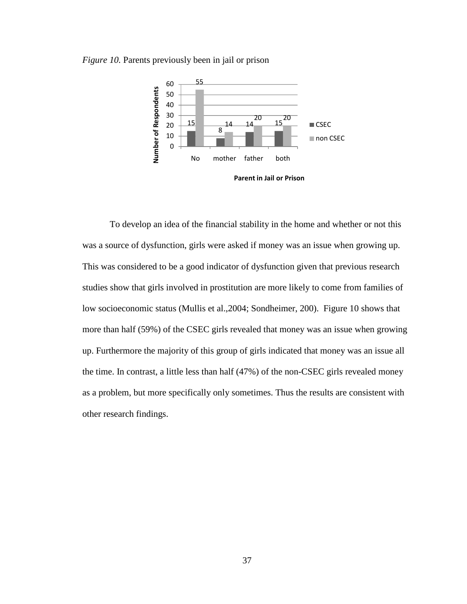



Parent in Jail or Prison

To develop an idea of the financial stability in the home and whether or not this was a source of dysfunction, girls were asked if money was an issue when growing up. This was considered to be a good indicator of dysfunction given that previous research studies show that girls involved in prostitution are more likely to come from families of low socioeconomic status (Mullis et al.,2004; Sondheimer, 200). Figure 10 shows that more than half (59%) of the CSEC girls revealed that money was an issue when growing up. Furthermore the majority of this group of girls indicated that money was an issue all the time. In contrast, a little less than half (47%) of the non-CSEC girls revealed money as a problem, but more specifically only sometimes. Thus the results are consistent with other research findings.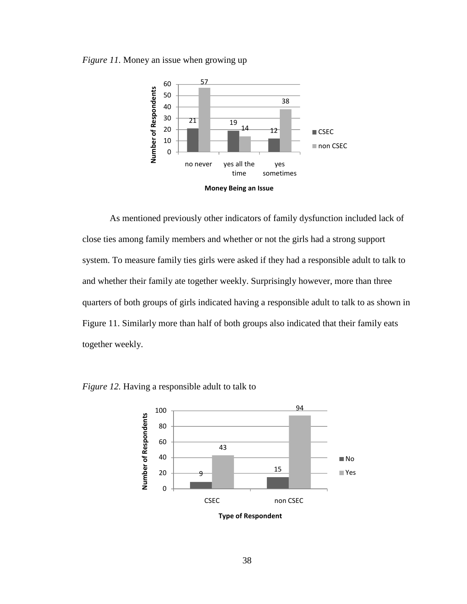*Figure 11.* Money an issue when growing up





 As mentioned previously other indicators of family dysfunction included lack of close ties among family members and whether or not the girls had a strong support system. To measure family ties girls were asked if they had a responsible adult to talk to and whether their family ate together weekly. Surprisingly however, more than three quarters of both groups of girls indicated having a responsible adult to talk to as shown in Figure 11. Similarly more than half of both groups also indicated that their family eats together weekly.



*Figure 12.* Having a responsible adult to talk to

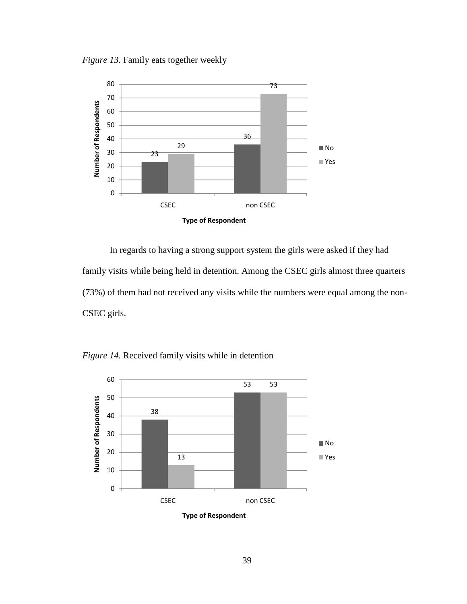*Figure 13.* Family eats together weekly



 In regards to having a strong support system the girls were asked if they had family visits while being held in detention. Among the CSEC girls almost three quarters (73%) of them had not received any visits while the numbers were equal among the non-CSEC girls.

*Figure 14.* Received family visits while in detention



Type of Respondent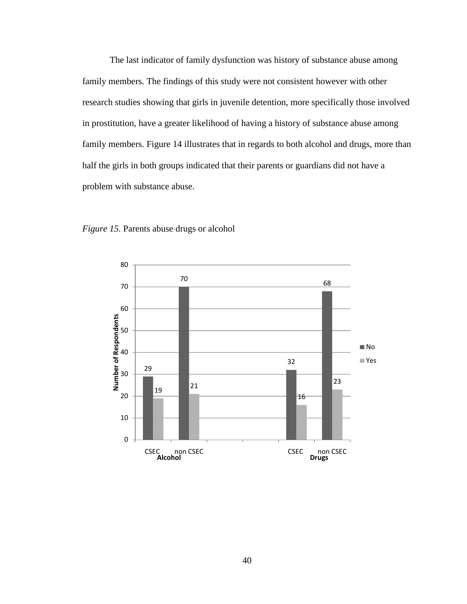The last indicator of family dysfunction was history of substance abuse among family members. The findings of this study were not consistent however with other research studies showing that girls in juvenile detention, more specifically those involved in prostitution, have a greater likelihood of having a history of substance abuse among family members. Figure 14 illustrates that in regards to both alcohol and drugs, more than half the girls in both groups indicated that their parents or guardians did not have a problem with substance abuse.



*Figure 15.* Parents abuse drugs or alcohol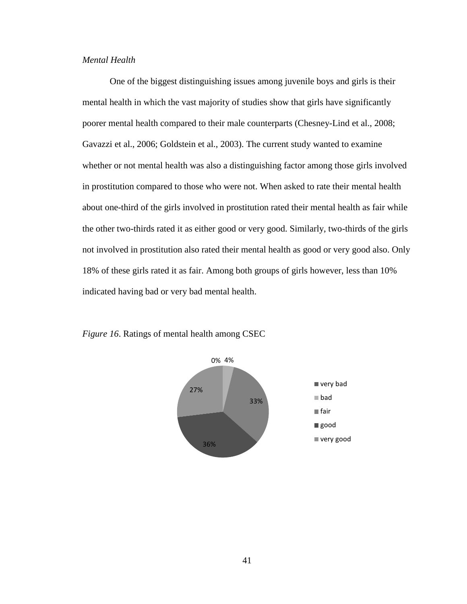# *Mental Health*

One of the biggest distinguishing issues among juvenile boys and girls is their mental health in which the vast majority of studies show that girls have significantly poorer mental health compared to their male counterparts (Chesney-Lind et al., 2008; Gavazzi et al., 2006; Goldstein et al., 2003). The current study wanted to examine whether or not mental health was also a distinguishing factor among those girls involved in prostitution compared to those who were not. When asked to rate their mental health about one-third of the girls involved in prostitution rated their mental health as fair while the other two-thirds rated it as either good or very good. Similarly, two-thirds of the girls not involved in prostitution also rated their mental health as good or very good also. Only 18% of these girls rated it as fair. Among both groups of girls however, less than 10% indicated having bad or very bad mental health.



*Figure 16*. Ratings of mental health among CSEC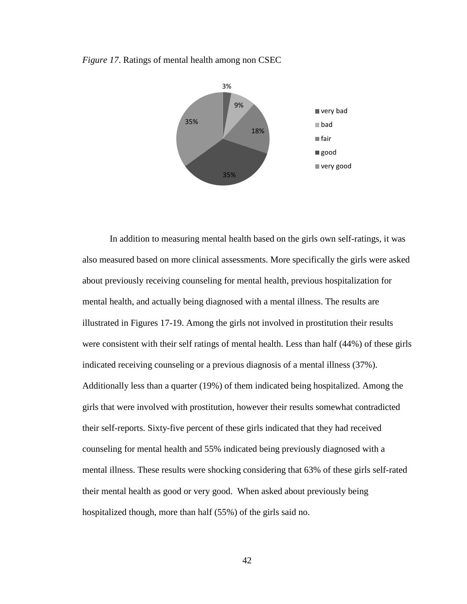



In addition to measuring mental health based on the girls own self-ratings, it was also measured based on more clinical assessments. More specifically the girls were asked about previously receiving counseling for mental health, previous hospitalization for mental health, and actually being diagnosed with a mental illness. The results are illustrated in Figures 17-19. Among the girls not involved in prostitution their results were consistent with their self ratings of mental health. Less than half (44%) of these girls indicated receiving counseling or a previous diagnosis of a mental illness (37%). Additionally less than a quarter (19%) of them indicated being hospitalized. Among the girls that were involved with prostitution, however their results somewhat contradicted their self-reports. Sixty-five percent of these girls indicated that they had received counseling for mental health and 55% indicated being previously diagnosed with a mental illness. These results were shocking considering that 63% of these girls self-rated their mental health as good or very good. When asked about previously being hospitalized though, more than half (55%) of the girls said no.

42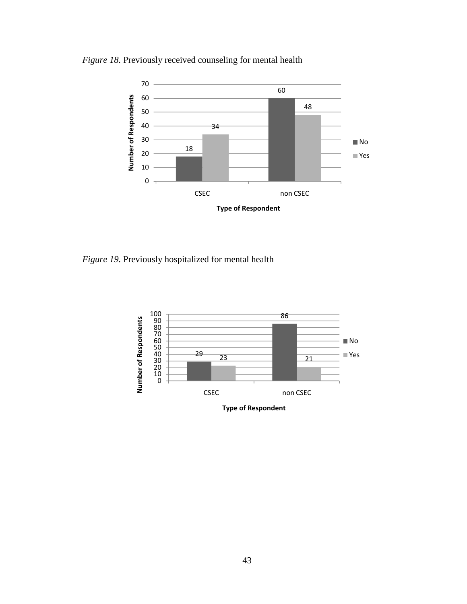*Figure 18.* Previously received counseling for mental health



*Figure 19.* Previously hospitalized for mental health

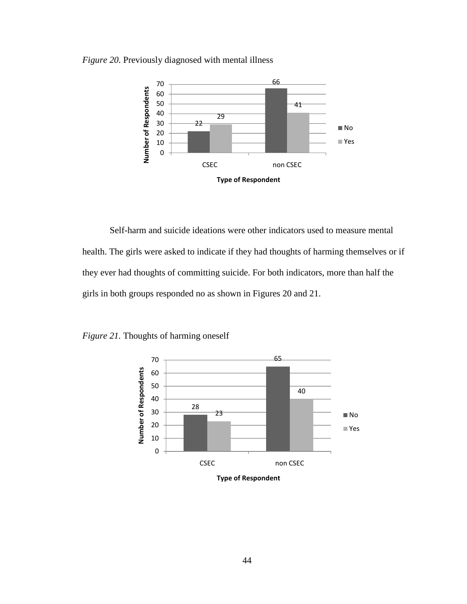*Figure 20.* Previously diagnosed with mental illness



Self-harm and suicide ideations were other indicators used to measure mental health. The girls were asked to indicate if they had thoughts of harming themselves or if they ever had thoughts of committing suicide. For both indicators, more than half the girls in both groups responded no as shown in Figures 20 and 21.

*Figure 21.* Thoughts of harming oneself



Type of Respondent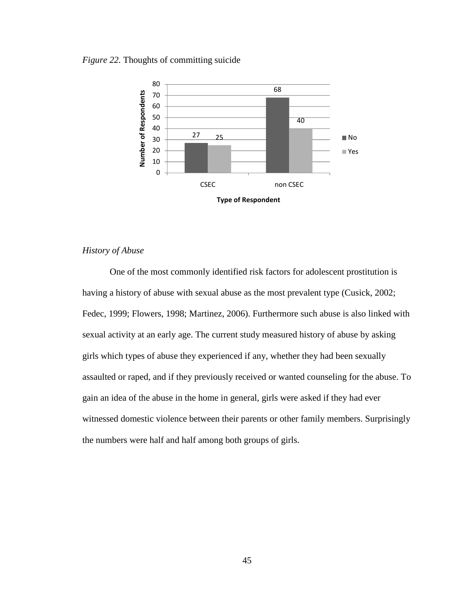## *Figure 22.* Thoughts of committing suicide



## *History of Abuse*

One of the most commonly identified risk factors for adolescent prostitution is having a history of abuse with sexual abuse as the most prevalent type (Cusick, 2002; Fedec, 1999; Flowers, 1998; Martinez, 2006). Furthermore such abuse is also linked with sexual activity at an early age. The current study measured history of abuse by asking girls which types of abuse they experienced if any, whether they had been sexually assaulted or raped, and if they previously received or wanted counseling for the abuse. To gain an idea of the abuse in the home in general, girls were asked if they had ever witnessed domestic violence between their parents or other family members. Surprisingly the numbers were half and half among both groups of girls.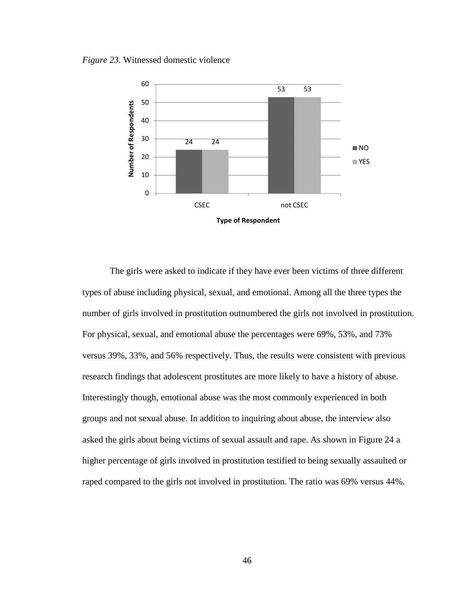*Figure 23.* Witnessed domestic violence



 The girls were asked to indicate if they have ever been victims of three different types of abuse including physical, sexual, and emotional. Among all the three types the number of girls involved in prostitution outnumbered the girls not involved in prostitution. For physical, sexual, and emotional abuse the percentages were 69%, 53%, and 73% versus 39%, 33%, and 56% respectively. Thus, the results were consistent with previous research findings that adolescent prostitutes are more likely to have a history of abuse. Interestingly though, emotional abuse was the most commonly experienced in both groups and not sexual abuse. In addition to inquiring about abuse, the interview also asked the girls about being victims of sexual assault and rape. As shown in Figure 24 a higher percentage of girls involved in prostitution testified to being sexually assaulted or raped compared to the girls not involved in prostitution. The ratio was 69% versus 44%.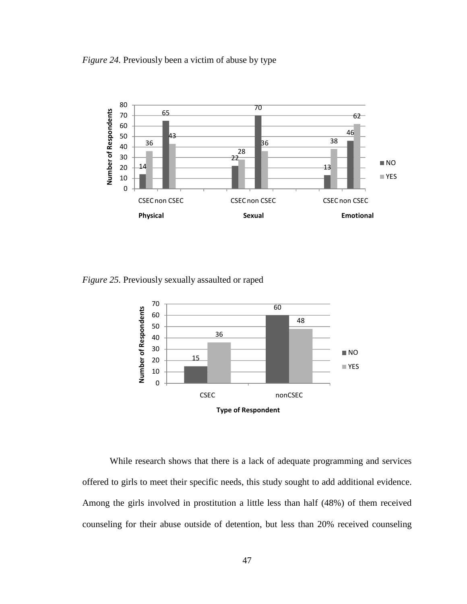*Figure 24.* Previously been a victim of abuse by type



*Figure 25.* Previously sexually assaulted or raped



 While research shows that there is a lack of adequate programming and services offered to girls to meet their specific needs, this study sought to add additional evidence. Among the girls involved in prostitution a little less than half (48%) of them received counseling for their abuse outside of detention, but less than 20% received counseling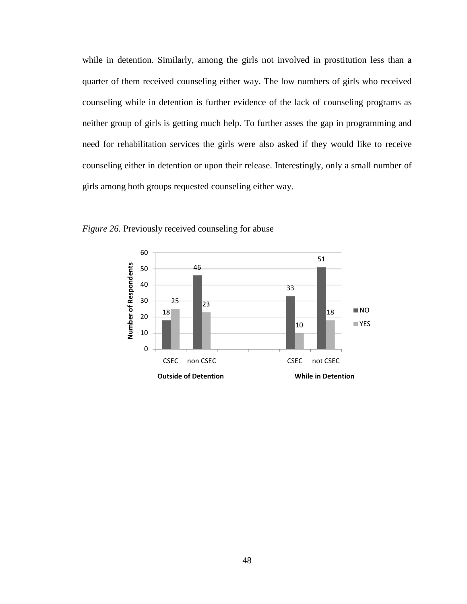while in detention. Similarly, among the girls not involved in prostitution less than a quarter of them received counseling either way. The low numbers of girls who received counseling while in detention is further evidence of the lack of counseling programs as neither group of girls is getting much help. To further asses the gap in programming and need for rehabilitation services the girls were also asked if they would like to receive counseling either in detention or upon their release. Interestingly, only a small number of girls among both groups requested counseling either way.



*Figure 26.* Previously received counseling for abuse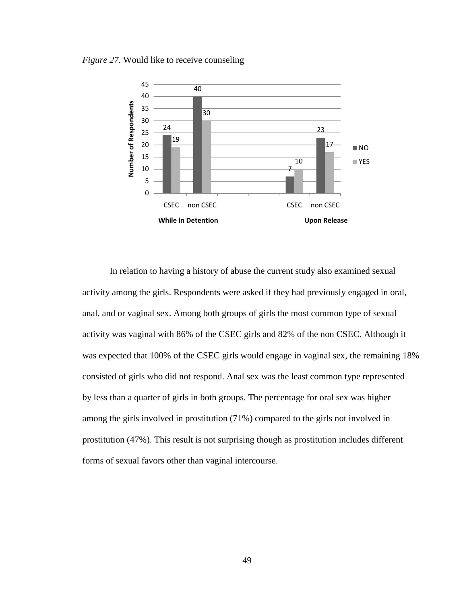*Figure 27.* Would like to receive counseling



In relation to having a history of abuse the current study also examined sexual activity among the girls. Respondents were asked if they had previously engaged in oral, anal, and or vaginal sex. Among both groups of girls the most common type of sexual activity was vaginal with 86% of the CSEC girls and 82% of the non CSEC. Although it was expected that 100% of the CSEC girls would engage in vaginal sex, the remaining 18% consisted of girls who did not respond. Anal sex was the least common type represented by less than a quarter of girls in both groups. The percentage for oral sex was higher among the girls involved in prostitution (71%) compared to the girls not involved in prostitution (47%). This result is not surprising though as prostitution includes different forms of sexual favors other than vaginal intercourse.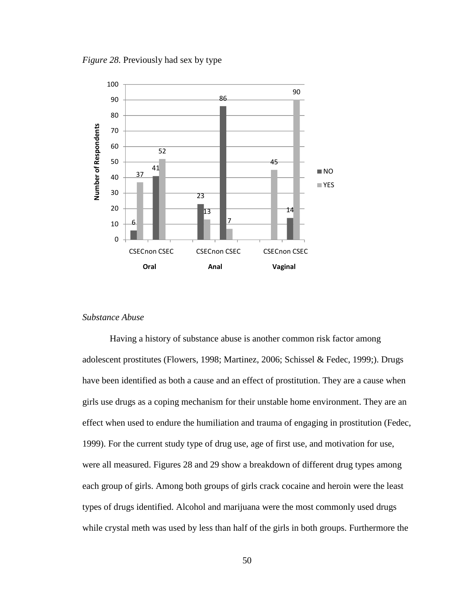*Figure 28.* Previously had sex by type



## *Substance Abuse*

Having a history of substance abuse is another common risk factor among adolescent prostitutes (Flowers, 1998; Martinez, 2006; Schissel & Fedec, 1999;). Drugs have been identified as both a cause and an effect of prostitution. They are a cause when girls use drugs as a coping mechanism for their unstable home environment. They are an effect when used to endure the humiliation and trauma of engaging in prostitution (Fedec, 1999). For the current study type of drug use, age of first use, and motivation for use, were all measured. Figures 28 and 29 show a breakdown of different drug types among each group of girls. Among both groups of girls crack cocaine and heroin were the least types of drugs identified. Alcohol and marijuana were the most commonly used drugs while crystal meth was used by less than half of the girls in both groups. Furthermore the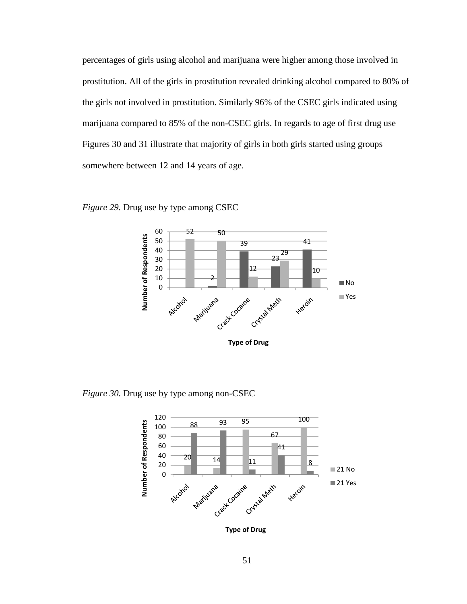percentages of girls using alcohol and marijuana were higher among those involved in prostitution. All of the girls in prostitution revealed drinking alcohol compared to 80% of the girls not involved in prostitution. Similarly 96% of the CSEC girls indicated using marijuana compared to 85% of the non-CSEC girls. In regards to age of first drug use Figures 30 and 31 illustrate that majority of girls in both girls started using groups somewhere between 12 and 14 years of age.



*Figure 29.* Drug use by type among CSEC

*Figure 30.* Drug use by type among non-CSEC

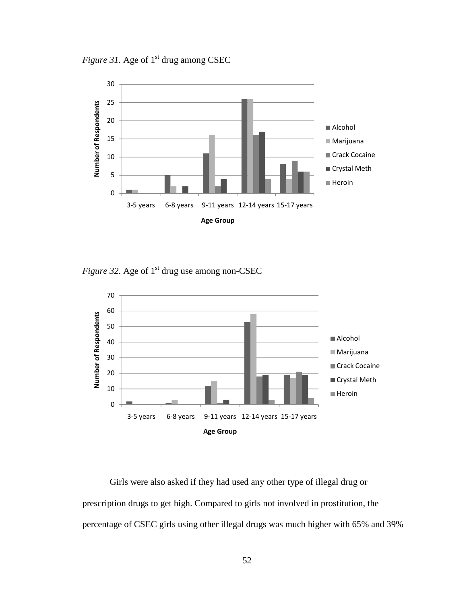*Figure 31.* Age of 1<sup>st</sup> drug among CSEC



*Figure 32.* Age of 1<sup>st</sup> drug use among non-CSEC



 Girls were also asked if they had used any other type of illegal drug or prescription drugs to get high. Compared to girls not involved in prostitution, the percentage of CSEC girls using other illegal drugs was much higher with 65% and 39%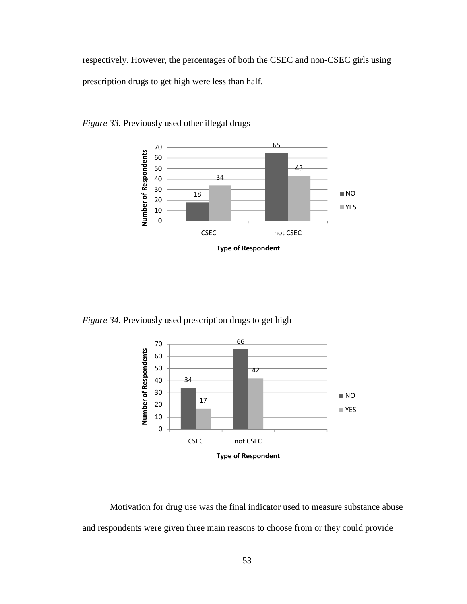respectively. However, the percentages of both the CSEC and non-CSEC girls using prescription drugs to get high were less than half.



*Figure 33.* Previously used other illegal drugs

*Figure 34.* Previously used prescription drugs to get high



 Motivation for drug use was the final indicator used to measure substance abuse and respondents were given three main reasons to choose from or they could provide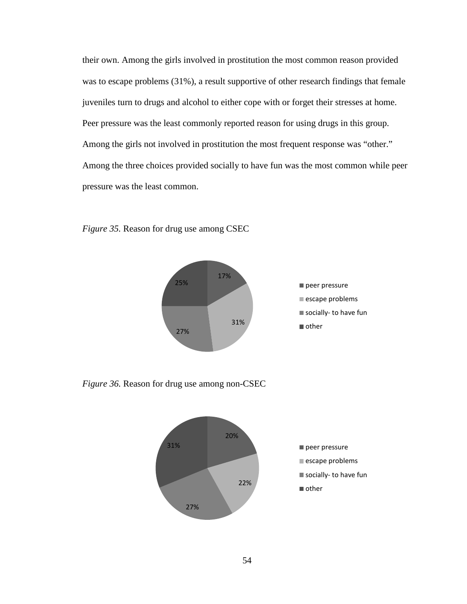their own. Among the girls involved in prostitution the most common reason provided was to escape problems (31%), a result supportive of other research findings that female juveniles turn to drugs and alcohol to either cope with or forget their stresses at home. Peer pressure was the least commonly reported reason for using drugs in this group. Among the girls not involved in prostitution the most frequent response was "other." Among the three choices provided socially to have fun was the most common while peer pressure was the least common.



*Figure 35.* Reason for drug use among CSEC

*Figure 36.* Reason for drug use among non-CSEC

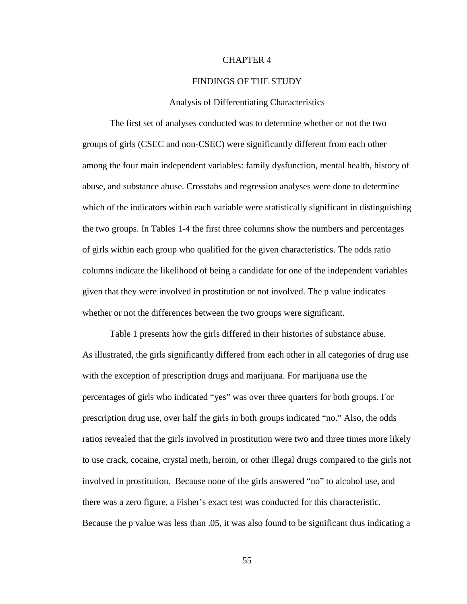# CHAPTER 4

### FINDINGS OF THE STUDY

#### Analysis of Differentiating Characteristics

The first set of analyses conducted was to determine whether or not the two groups of girls (CSEC and non-CSEC) were significantly different from each other among the four main independent variables: family dysfunction, mental health, history of abuse, and substance abuse. Crosstabs and regression analyses were done to determine which of the indicators within each variable were statistically significant in distinguishing the two groups. In Tables 1-4 the first three columns show the numbers and percentages of girls within each group who qualified for the given characteristics. The odds ratio columns indicate the likelihood of being a candidate for one of the independent variables given that they were involved in prostitution or not involved. The p value indicates whether or not the differences between the two groups were significant.

Table 1 presents how the girls differed in their histories of substance abuse. As illustrated, the girls significantly differed from each other in all categories of drug use with the exception of prescription drugs and marijuana. For marijuana use the percentages of girls who indicated "yes" was over three quarters for both groups. For prescription drug use, over half the girls in both groups indicated "no." Also, the odds ratios revealed that the girls involved in prostitution were two and three times more likely to use crack, cocaine, crystal meth, heroin, or other illegal drugs compared to the girls not involved in prostitution. Because none of the girls answered "no" to alcohol use, and there was a zero figure, a Fisher's exact test was conducted for this characteristic. Because the p value was less than .05, it was also found to be significant thus indicating a

55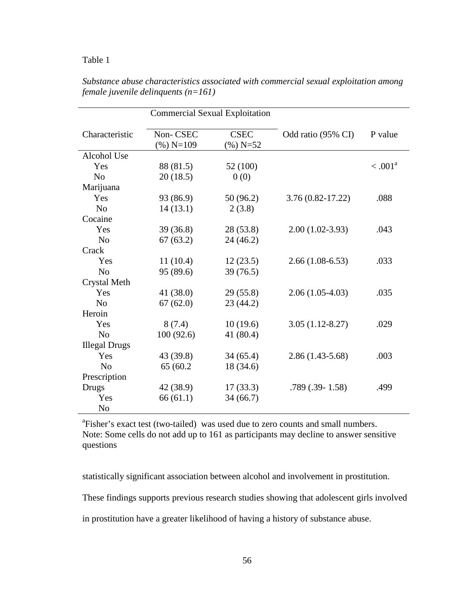## Table 1

|                      | <b>Commercial Sexual Exploitation</b> |                            |                      |            |
|----------------------|---------------------------------------|----------------------------|----------------------|------------|
| Characteristic       | Non-CSEC<br>$(\%)$ N=109              | <b>CSEC</b><br>$(\%)$ N=52 | Odd ratio (95% CI)   | P value    |
| Alcohol Use          |                                       |                            |                      |            |
| Yes                  | 88 (81.5)                             | 52 (100)                   |                      | $< .001^a$ |
| N <sub>o</sub>       | 20(18.5)                              | 0(0)                       |                      |            |
| Marijuana            |                                       |                            |                      |            |
| Yes                  | 93 (86.9)                             | 50(96.2)                   | $3.76(0.82 - 17.22)$ | .088       |
| N <sub>o</sub>       | 14(13.1)                              | 2(3.8)                     |                      |            |
| Cocaine              |                                       |                            |                      |            |
| Yes                  | 39(36.8)                              | 28 (53.8)                  | $2.00(1.02-3.93)$    | .043       |
| N <sub>0</sub>       | 67(63.2)                              | 24(46.2)                   |                      |            |
| Crack                |                                       |                            |                      |            |
| Yes                  | 11(10.4)                              | 12(23.5)                   | $2.66(1.08-6.53)$    | .033       |
| N <sub>o</sub>       | 95 (89.6)                             | 39(76.5)                   |                      |            |
| <b>Crystal Meth</b>  |                                       |                            |                      |            |
| Yes                  | 41 (38.0)                             | 29(55.8)                   | $2.06(1.05-4.03)$    | .035       |
| N <sub>o</sub>       | 67(62.0)                              | 23(44.2)                   |                      |            |
| Heroin               |                                       |                            |                      |            |
| Yes                  | 8(7.4)                                | 10(19.6)                   | $3.05(1.12-8.27)$    | .029       |
| N <sub>o</sub>       | 100(92.6)                             | 41 (80.4)                  |                      |            |
| <b>Illegal Drugs</b> |                                       |                            |                      |            |
| Yes                  | 43 (39.8)                             | 34(65.4)                   | $2.86(1.43-5.68)$    | .003       |
| N <sub>o</sub>       | 65 (60.2)                             | 18 (34.6)                  |                      |            |
| Prescription         |                                       |                            |                      |            |
| Drugs                | 42 (38.9)                             | 17(33.3)                   | $.789(.39-1.58)$     | .499       |
| Yes                  | 66(61.1)                              | 34(66.7)                   |                      |            |
| N <sub>o</sub>       |                                       |                            |                      |            |

*Substance abuse characteristics associated with commercial sexual exploitation among female juvenile delinquents (n=161)* 

<sup>a</sup>Fisher's exact test (two-tailed) was used due to zero counts and small numbers. Note: Some cells do not add up to 161 as participants may decline to answer sensitive questions

statistically significant association between alcohol and involvement in prostitution.

These findings supports previous research studies showing that adolescent girls involved

in prostitution have a greater likelihood of having a history of substance abuse.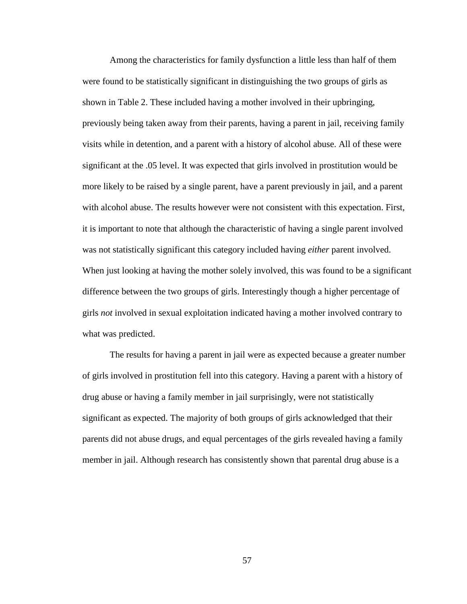Among the characteristics for family dysfunction a little less than half of them were found to be statistically significant in distinguishing the two groups of girls as shown in Table 2. These included having a mother involved in their upbringing, previously being taken away from their parents, having a parent in jail, receiving family visits while in detention, and a parent with a history of alcohol abuse. All of these were significant at the .05 level. It was expected that girls involved in prostitution would be more likely to be raised by a single parent, have a parent previously in jail, and a parent with alcohol abuse. The results however were not consistent with this expectation. First, it is important to note that although the characteristic of having a single parent involved was not statistically significant this category included having *either* parent involved. When just looking at having the mother solely involved, this was found to be a significant difference between the two groups of girls. Interestingly though a higher percentage of girls *not* involved in sexual exploitation indicated having a mother involved contrary to what was predicted.

The results for having a parent in jail were as expected because a greater number of girls involved in prostitution fell into this category. Having a parent with a history of drug abuse or having a family member in jail surprisingly, were not statistically significant as expected. The majority of both groups of girls acknowledged that their parents did not abuse drugs, and equal percentages of the girls revealed having a family member in jail. Although research has consistently shown that parental drug abuse is a

57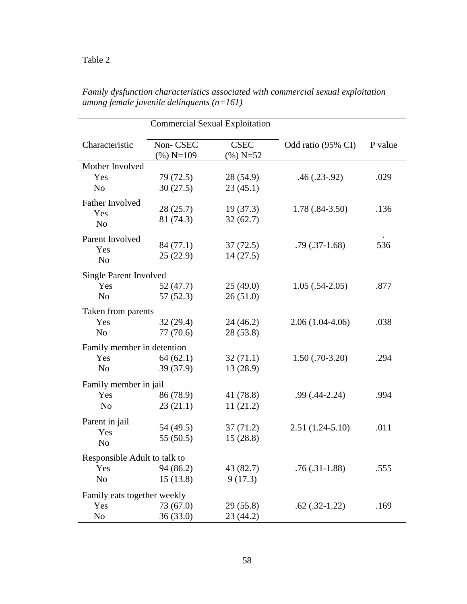| <b>Commercial Sexual Exploitation</b> |                          |                            |                    |         |
|---------------------------------------|--------------------------|----------------------------|--------------------|---------|
| Characteristic                        | Non-CSEC<br>$(\%)$ N=109 | <b>CSEC</b><br>$(\%)$ N=52 | Odd ratio (95% CI) | P value |
| Mother Involved                       |                          |                            |                    |         |
| Yes                                   | 79 (72.5)                | 28 (54.9)                  | $.46(.23-.92)$     | .029    |
| N <sub>0</sub>                        | 30(27.5)                 | 23(45.1)                   |                    |         |
| Father Involved                       |                          |                            |                    |         |
| Yes                                   | 28(25.7)                 | 19(37.3)                   | $1.78(.84-3.50)$   | .136    |
| N <sub>o</sub>                        | 81 (74.3)                | 32(62.7)                   |                    |         |
| Parent Involved                       |                          |                            |                    |         |
| Yes                                   | 84 (77.1)                | 37(72.5)                   | $.79(.37-1.68)$    | 536     |
| N <sub>o</sub>                        | 25(22.9)                 | 14(27.5)                   |                    |         |
| <b>Single Parent Involved</b>         |                          |                            |                    |         |
| Yes                                   | 52(47.7)                 | 25(49.0)                   | $1.05(.54-2.05)$   | .877    |
| N <sub>o</sub>                        | 57(52.3)                 | 26(51.0)                   |                    |         |
| Taken from parents                    |                          |                            |                    |         |
| Yes                                   | 32(29.4)                 | 24(46.2)                   | $2.06(1.04-4.06)$  | .038    |
| N <sub>o</sub>                        | 77(70.6)                 | 28(53.8)                   |                    |         |
| Family member in detention            |                          |                            |                    |         |
| Yes                                   | 64(62.1)                 | 32(71.1)                   | $1.50(.70-3.20)$   | .294    |
| N <sub>0</sub>                        | 39 (37.9)                | 13 (28.9)                  |                    |         |
| Family member in jail                 |                          |                            |                    |         |
| Yes                                   | 86 (78.9)                | 41 (78.8)                  | $.99(0.44 - 2.24)$ | .994    |
| N <sub>o</sub>                        | 23(21.1)                 | 11(21.2)                   |                    |         |
|                                       |                          |                            |                    |         |
| Parent in jail<br>Yes                 | 54 (49.5)                | 37(71.2)                   | $2.51(1.24-5.10)$  | .011    |
| N <sub>o</sub>                        | 55(50.5)                 | 15(28.8)                   |                    |         |
|                                       |                          |                            |                    |         |
| Responsible Adult to talk to          |                          |                            |                    |         |
| Yes<br>N <sub>o</sub>                 | 94 (86.2)                | 43 (82.7)                  | $.76(.31-1.88)$    | .555    |
|                                       | 15(13.8)                 | 9(17.3)                    |                    |         |
| Family eats together weekly           |                          |                            |                    |         |
| Yes                                   | 73 (67.0)                | 29 (55.8)                  | $.62$ $(.32-1.22)$ | .169    |
| N <sub>o</sub>                        | 36(33.0)                 | 23 (44.2)                  |                    |         |

*Family dysfunction characteristics associated with commercial sexual exploitation among female juvenile delinquents (n=161)*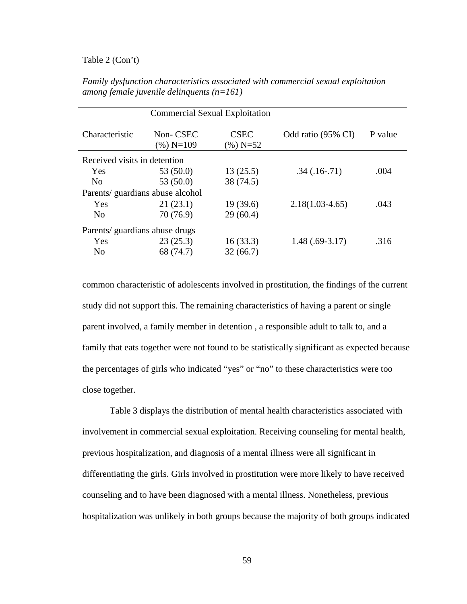## Table 2 (Con't)

|                                 | <b>Commercial Sexual Exploitation</b> |                            |                     |         |
|---------------------------------|---------------------------------------|----------------------------|---------------------|---------|
| Characteristic                  | Non-CSEC<br>(%) N=109                 | <b>CSEC</b><br>$(\%)$ N=52 | Odd ratio (95% CI)  | P value |
| Received visits in detention    |                                       |                            |                     |         |
| Yes                             | 53(50.0)                              | 13(25.5)                   | $.34(.16-.71)$      | .004    |
| N <sub>0</sub>                  | 53 (50.0)                             | 38 (74.5)                  |                     |         |
| Parents/guardians abuse alcohol |                                       |                            |                     |         |
| Yes                             | 21(23.1)                              | 19(39.6)                   | $2.18(1.03 - 4.65)$ | .043    |
| N <sub>0</sub>                  | 70 (76.9)                             | 29(60.4)                   |                     |         |
| Parents/ guardians abuse drugs  |                                       |                            |                     |         |
| Yes                             | 23(25.3)                              | 16(33.3)                   | $1.48(.69-3.17)$    | .316    |
| N <sub>0</sub>                  | 68 (74.7)                             | 32(66.7)                   |                     |         |
|                                 |                                       |                            |                     |         |

*Family dysfunction characteristics associated with commercial sexual exploitation among female juvenile delinquents (n=161)* 

common characteristic of adolescents involved in prostitution, the findings of the current study did not support this. The remaining characteristics of having a parent or single parent involved, a family member in detention , a responsible adult to talk to, and a family that eats together were not found to be statistically significant as expected because the percentages of girls who indicated "yes" or "no" to these characteristics were too close together.

Table 3 displays the distribution of mental health characteristics associated with involvement in commercial sexual exploitation. Receiving counseling for mental health, previous hospitalization, and diagnosis of a mental illness were all significant in differentiating the girls. Girls involved in prostitution were more likely to have received counseling and to have been diagnosed with a mental illness. Nonetheless, previous hospitalization was unlikely in both groups because the majority of both groups indicated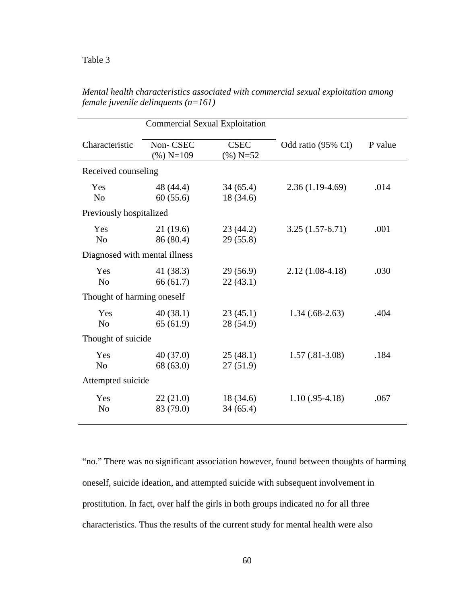| <b>Commercial Sexual Exploitation</b> |                          |                            |                    |         |
|---------------------------------------|--------------------------|----------------------------|--------------------|---------|
| Characteristic                        | Non-CSEC<br>$(\%)$ N=109 | <b>CSEC</b><br>$(\%)$ N=52 | Odd ratio (95% CI) | P value |
| Received counseling                   |                          |                            |                    |         |
| Yes<br>N <sub>o</sub>                 | 48 (44.4)<br>60(55.6)    | 34(65.4)<br>18 (34.6)      | $2.36(1.19-4.69)$  | .014    |
| Previously hospitalized               |                          |                            |                    |         |
| Yes<br>N <sub>o</sub>                 | 21(19.6)<br>86 (80.4)    | 23(44.2)<br>29(55.8)       | $3.25(1.57-6.71)$  | .001    |
| Diagnosed with mental illness         |                          |                            |                    |         |
| Yes<br>N <sub>o</sub>                 | 41 (38.3)<br>66(61.7)    | 29 (56.9)<br>22(43.1)      | $2.12(1.08-4.18)$  | .030    |
| Thought of harming oneself            |                          |                            |                    |         |
| Yes<br>N <sub>o</sub>                 | 40(38.1)<br>65(61.9)     | 23(45.1)<br>28 (54.9)      | $1.34(.68-2.63)$   | .404    |
| Thought of suicide                    |                          |                            |                    |         |
| Yes<br>N <sub>o</sub>                 | 40(37.0)<br>68 (63.0)    | 25(48.1)<br>27(51.9)       | $1.57(.81-3.08)$   | .184    |
| Attempted suicide                     |                          |                            |                    |         |
| Yes<br>N <sub>o</sub>                 | 22(21.0)<br>83 (79.0)    | 18(34.6)<br>34(65.4)       | $1.10(.95-4.18)$   | .067    |

*Mental health characteristics associated with commercial sexual exploitation among female juvenile delinquents (n=161)*

"no." There was no significant association however, found between thoughts of harming oneself, suicide ideation, and attempted suicide with subsequent involvement in prostitution. In fact, over half the girls in both groups indicated no for all three characteristics. Thus the results of the current study for mental health were also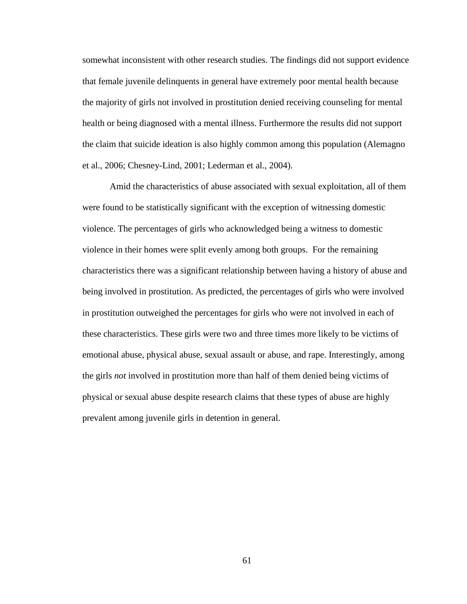somewhat inconsistent with other research studies. The findings did not support evidence that female juvenile delinquents in general have extremely poor mental health because the majority of girls not involved in prostitution denied receiving counseling for mental health or being diagnosed with a mental illness. Furthermore the results did not support the claim that suicide ideation is also highly common among this population (Alemagno et al., 2006; Chesney-Lind, 2001; Lederman et al., 2004).

Amid the characteristics of abuse associated with sexual exploitation, all of them were found to be statistically significant with the exception of witnessing domestic violence. The percentages of girls who acknowledged being a witness to domestic violence in their homes were split evenly among both groups. For the remaining characteristics there was a significant relationship between having a history of abuse and being involved in prostitution. As predicted, the percentages of girls who were involved in prostitution outweighed the percentages for girls who were not involved in each of these characteristics. These girls were two and three times more likely to be victims of emotional abuse, physical abuse, sexual assault or abuse, and rape. Interestingly, among the girls *not* involved in prostitution more than half of them denied being victims of physical or sexual abuse despite research claims that these types of abuse are highly prevalent among juvenile girls in detention in general.

61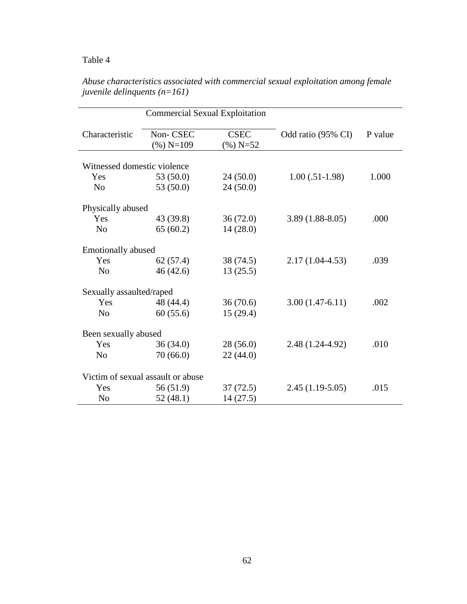# Table 4

|                             | <b>Commercial Sexual Exploitation</b> |                            |                    |         |
|-----------------------------|---------------------------------------|----------------------------|--------------------|---------|
| Characteristic              | Non-CSEC<br>$(\%)$ N=109              | <b>CSEC</b><br>$(\%)$ N=52 | Odd ratio (95% CI) | P value |
| Witnessed domestic violence |                                       |                            |                    |         |
| Yes                         | 53 (50.0)                             | 24(50.0)                   | $1.00(.51-1.98)$   | 1.000   |
| N <sub>o</sub>              | 53 (50.0)                             | 24(50.0)                   |                    |         |
| Physically abused           |                                       |                            |                    |         |
| Yes                         | 43 (39.8)                             | 36(72.0)                   | $3.89(1.88-8.05)$  | .000    |
| N <sub>0</sub>              | 65(60.2)                              | 14(28.0)                   |                    |         |
| <b>Emotionally abused</b>   |                                       |                            |                    |         |
| Yes                         | 62(57.4)                              | 38 (74.5)                  | $2.17(1.04-4.53)$  | .039    |
| N <sub>o</sub>              | 46(42.6)                              | 13(25.5)                   |                    |         |
| Sexually assaulted/raped    |                                       |                            |                    |         |
| Yes                         | 48 (44.4)                             | 36(70.6)                   | $3.00(1.47-6.11)$  | .002    |
| N <sub>o</sub>              | 60(55.6)                              | 15(29.4)                   |                    |         |
| Been sexually abused        |                                       |                            |                    |         |
| Yes                         | 36(34.0)                              | 28(56.0)                   | 2.48 (1.24-4.92)   | .010    |
| N <sub>o</sub>              | 70(66.0)                              | 22(44.0)                   |                    |         |
|                             | Victim of sexual assault or abuse     |                            |                    |         |
| Yes                         | 56 (51.9)                             | 37(72.5)                   | $2.45(1.19-5.05)$  | .015    |
| N <sub>0</sub>              | 52(48.1)                              | 14(27.5)                   |                    |         |

*Abuse characteristics associated with commercial sexual exploitation among female juvenile delinquents (n=161)*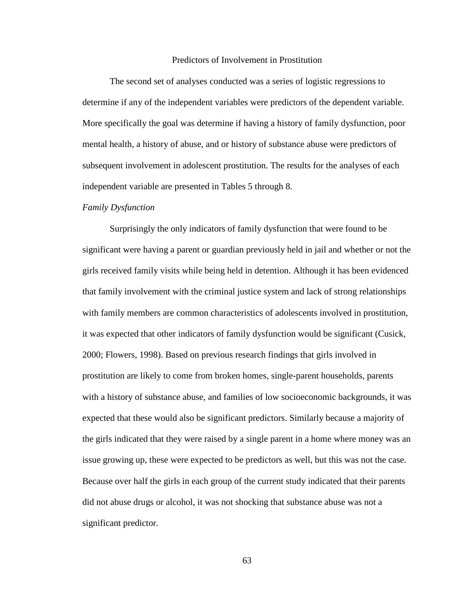### Predictors of Involvement in Prostitution

The second set of analyses conducted was a series of logistic regressions to determine if any of the independent variables were predictors of the dependent variable. More specifically the goal was determine if having a history of family dysfunction, poor mental health, a history of abuse, and or history of substance abuse were predictors of subsequent involvement in adolescent prostitution. The results for the analyses of each independent variable are presented in Tables 5 through 8.

#### *Family Dysfunction*

Surprisingly the only indicators of family dysfunction that were found to be significant were having a parent or guardian previously held in jail and whether or not the girls received family visits while being held in detention. Although it has been evidenced that family involvement with the criminal justice system and lack of strong relationships with family members are common characteristics of adolescents involved in prostitution, it was expected that other indicators of family dysfunction would be significant (Cusick, 2000; Flowers, 1998). Based on previous research findings that girls involved in prostitution are likely to come from broken homes, single-parent households, parents with a history of substance abuse, and families of low socioeconomic backgrounds, it was expected that these would also be significant predictors. Similarly because a majority of the girls indicated that they were raised by a single parent in a home where money was an issue growing up, these were expected to be predictors as well, but this was not the case. Because over half the girls in each group of the current study indicated that their parents did not abuse drugs or alcohol, it was not shocking that substance abuse was not a significant predictor.

63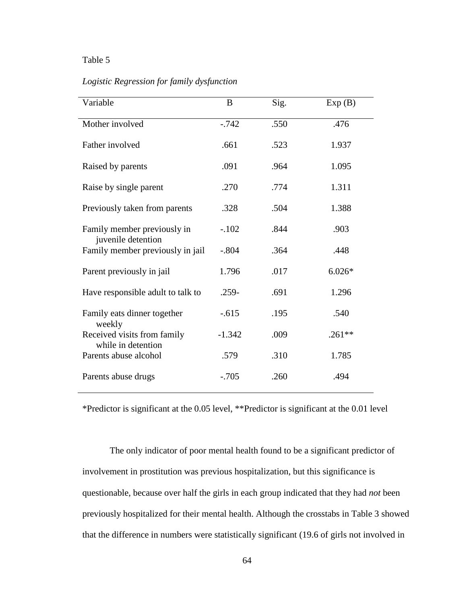## Table 5

### *Logistic Regression for family dysfunction*

| Variable                                          | B        | Sig. | Exp(B)   |
|---------------------------------------------------|----------|------|----------|
| Mother involved                                   | $-0.742$ | .550 | .476     |
| Father involved                                   | .661     | .523 | 1.937    |
| Raised by parents                                 | .091     | .964 | 1.095    |
| Raise by single parent                            | .270     | .774 | 1.311    |
| Previously taken from parents                     | .328     | .504 | 1.388    |
| Family member previously in<br>juvenile detention | $-.102$  | .844 | .903     |
| Family member previously in jail                  | $-.804$  | .364 | .448     |
| Parent previously in jail                         | 1.796    | .017 | $6.026*$ |
| Have responsible adult to talk to                 | $.259-$  | .691 | 1.296    |
| Family eats dinner together<br>weekly             | $-.615$  | .195 | .540     |
| Received visits from family<br>while in detention | $-1.342$ | .009 | $.261**$ |
| Parents abuse alcohol                             | .579     | .310 | 1.785    |
| Parents abuse drugs                               | $-.705$  | .260 | .494     |

\*Predictor is significant at the 0.05 level, \*\*Predictor is significant at the 0.01 level

 The only indicator of poor mental health found to be a significant predictor of involvement in prostitution was previous hospitalization, but this significance is questionable, because over half the girls in each group indicated that they had *not* been previously hospitalized for their mental health. Although the crosstabs in Table 3 showed that the difference in numbers were statistically significant (19.6 of girls not involved in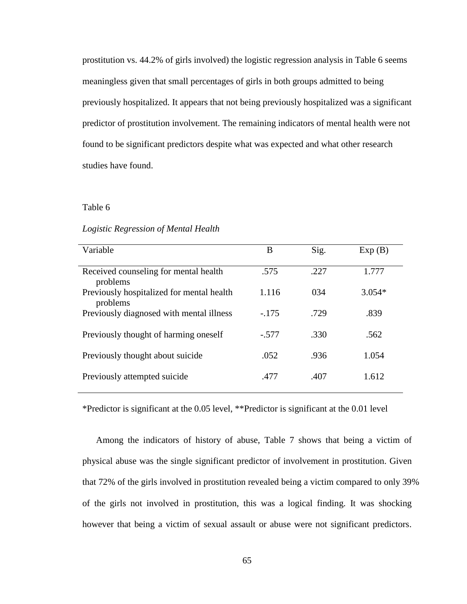prostitution vs. 44.2% of girls involved) the logistic regression analysis in Table 6 seems meaningless given that small percentages of girls in both groups admitted to being previously hospitalized. It appears that not being previously hospitalized was a significant predictor of prostitution involvement. The remaining indicators of mental health were not found to be significant predictors despite what was expected and what other research studies have found.

#### Table 6

#### *Logistic Regression of Mental Health*

| Variable                                              | B       | Sig. | Exp(B)   |
|-------------------------------------------------------|---------|------|----------|
| Received counseling for mental health<br>problems     | .575    | .227 | 1.777    |
| Previously hospitalized for mental health<br>problems | 1.116   | 034  | $3.054*$ |
| Previously diagnosed with mental illness              | $-.175$ | .729 | .839     |
| Previously thought of harming oneself                 | $-.577$ | .330 | .562     |
| Previously thought about suicide                      | .052    | .936 | 1.054    |
| Previously attempted suicide                          | .477    | .407 | 1.612    |

\*Predictor is significant at the 0.05 level, \*\*Predictor is significant at the 0.01 level

Among the indicators of history of abuse, Table 7 shows that being a victim of physical abuse was the single significant predictor of involvement in prostitution. Given that 72% of the girls involved in prostitution revealed being a victim compared to only 39% of the girls not involved in prostitution, this was a logical finding. It was shocking however that being a victim of sexual assault or abuse were not significant predictors.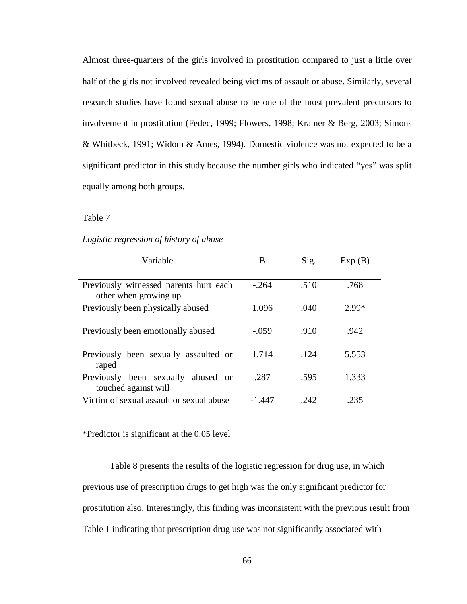Almost three-quarters of the girls involved in prostitution compared to just a little over half of the girls not involved revealed being victims of assault or abuse. Similarly, several research studies have found sexual abuse to be one of the most prevalent precursors to involvement in prostitution (Fedec, 1999; Flowers, 1998; Kramer & Berg, 2003; Simons & Whitbeck, 1991; Widom & Ames, 1994). Domestic violence was not expected to be a significant predictor in this study because the number girls who indicated "yes" was split equally among both groups.

Table 7

| Logistic regression of history of abuse |  |
|-----------------------------------------|--|

| Variable                                                         | B       | Sig. | Exp(B)  |
|------------------------------------------------------------------|---------|------|---------|
| Previously witnessed parents hurt each<br>other when growing up  | $-.264$ | .510 | .768    |
| Previously been physically abused                                | 1.096   | .040 | $2.99*$ |
| Previously been emotionally abused                               | $-.059$ | .910 | .942    |
| Previously been sexually assaulted or<br>raped                   | 1.714   | .124 | 5.553   |
| been sexually<br>Previously<br>abused or<br>touched against will | .287    | .595 | 1.333   |
| Victim of sexual assault or sexual abuse                         | -1.447  | .242 | .235    |

\*Predictor is significant at the 0.05 level

 Table 8 presents the results of the logistic regression for drug use, in which previous use of prescription drugs to get high was the only significant predictor for prostitution also. Interestingly, this finding was inconsistent with the previous result from Table 1 indicating that prescription drug use was not significantly associated with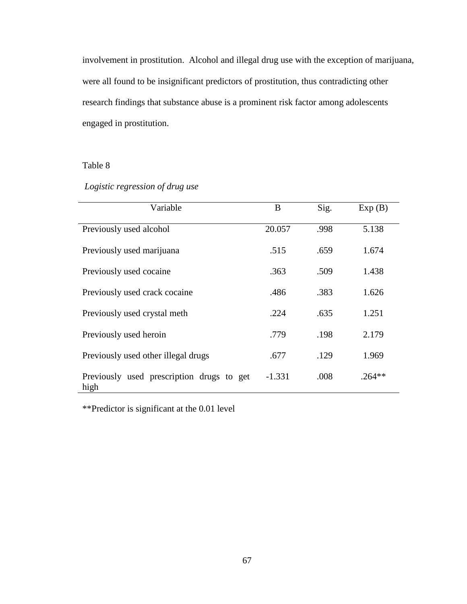involvement in prostitution. Alcohol and illegal drug use with the exception of marijuana, were all found to be insignificant predictors of prostitution, thus contradicting other research findings that substance abuse is a prominent risk factor among adolescents engaged in prostitution.

# Table 8

# *Logistic regression of drug use*

| Variable                                          | B        | Sig. | Exp(B)   |
|---------------------------------------------------|----------|------|----------|
| Previously used alcohol                           | 20.057   | .998 | 5.138    |
| Previously used marijuana                         | .515     | .659 | 1.674    |
| Previously used cocaine.                          | .363     | .509 | 1.438    |
| Previously used crack cocaine                     | .486     | .383 | 1.626    |
| Previously used crystal meth                      | .224     | .635 | 1.251    |
| Previously used heroin                            | .779     | .198 | 2.179    |
| Previously used other illegal drugs               | .677     | .129 | 1.969    |
| Previously used prescription drugs to get<br>high | $-1.331$ | .008 | $.264**$ |

\*\*Predictor is significant at the 0.01 level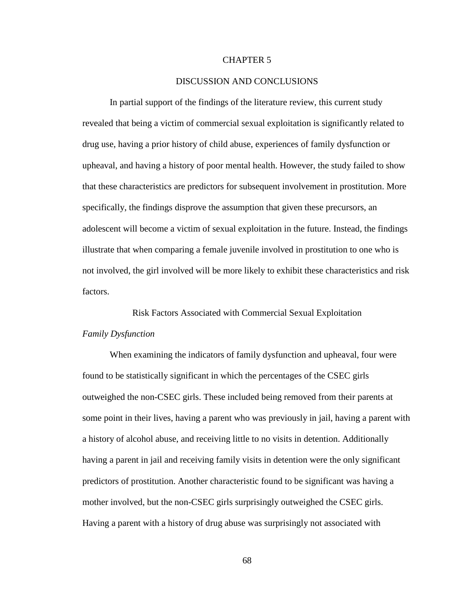#### CHAPTER 5

#### DISCUSSION AND CONCLUSIONS

In partial support of the findings of the literature review, this current study revealed that being a victim of commercial sexual exploitation is significantly related to drug use, having a prior history of child abuse, experiences of family dysfunction or upheaval, and having a history of poor mental health. However, the study failed to show that these characteristics are predictors for subsequent involvement in prostitution. More specifically, the findings disprove the assumption that given these precursors, an adolescent will become a victim of sexual exploitation in the future. Instead, the findings illustrate that when comparing a female juvenile involved in prostitution to one who is not involved, the girl involved will be more likely to exhibit these characteristics and risk factors.

Risk Factors Associated with Commercial Sexual Exploitation *Family Dysfunction* 

When examining the indicators of family dysfunction and upheaval, four were found to be statistically significant in which the percentages of the CSEC girls outweighed the non-CSEC girls. These included being removed from their parents at some point in their lives, having a parent who was previously in jail, having a parent with a history of alcohol abuse, and receiving little to no visits in detention. Additionally having a parent in jail and receiving family visits in detention were the only significant predictors of prostitution. Another characteristic found to be significant was having a mother involved, but the non-CSEC girls surprisingly outweighed the CSEC girls. Having a parent with a history of drug abuse was surprisingly not associated with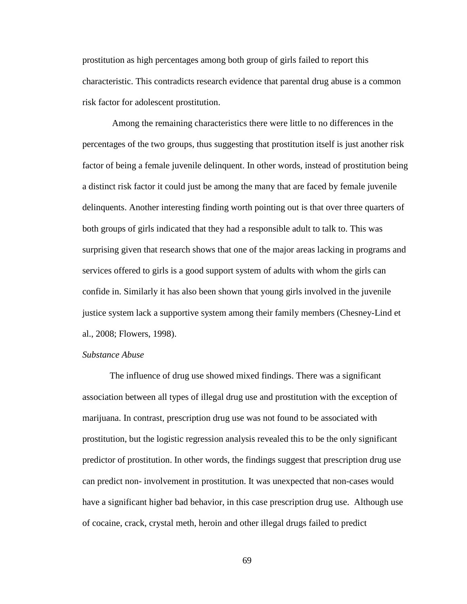prostitution as high percentages among both group of girls failed to report this characteristic. This contradicts research evidence that parental drug abuse is a common risk factor for adolescent prostitution.

 Among the remaining characteristics there were little to no differences in the percentages of the two groups, thus suggesting that prostitution itself is just another risk factor of being a female juvenile delinquent. In other words, instead of prostitution being a distinct risk factor it could just be among the many that are faced by female juvenile delinquents. Another interesting finding worth pointing out is that over three quarters of both groups of girls indicated that they had a responsible adult to talk to. This was surprising given that research shows that one of the major areas lacking in programs and services offered to girls is a good support system of adults with whom the girls can confide in. Similarly it has also been shown that young girls involved in the juvenile justice system lack a supportive system among their family members (Chesney-Lind et al., 2008; Flowers, 1998).

#### *Substance Abuse*

The influence of drug use showed mixed findings. There was a significant association between all types of illegal drug use and prostitution with the exception of marijuana. In contrast, prescription drug use was not found to be associated with prostitution, but the logistic regression analysis revealed this to be the only significant predictor of prostitution. In other words, the findings suggest that prescription drug use can predict non- involvement in prostitution. It was unexpected that non-cases would have a significant higher bad behavior, in this case prescription drug use. Although use of cocaine, crack, crystal meth, heroin and other illegal drugs failed to predict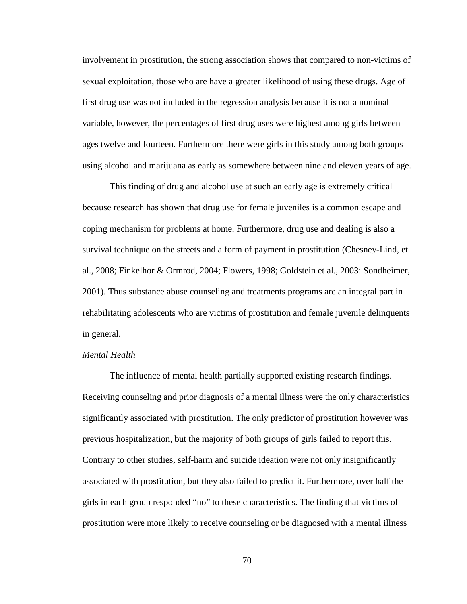involvement in prostitution, the strong association shows that compared to non-victims of sexual exploitation, those who are have a greater likelihood of using these drugs. Age of first drug use was not included in the regression analysis because it is not a nominal variable, however, the percentages of first drug uses were highest among girls between ages twelve and fourteen. Furthermore there were girls in this study among both groups using alcohol and marijuana as early as somewhere between nine and eleven years of age.

This finding of drug and alcohol use at such an early age is extremely critical because research has shown that drug use for female juveniles is a common escape and coping mechanism for problems at home. Furthermore, drug use and dealing is also a survival technique on the streets and a form of payment in prostitution (Chesney-Lind, et al., 2008; Finkelhor & Ormrod, 2004; Flowers, 1998; Goldstein et al., 2003: Sondheimer, 2001). Thus substance abuse counseling and treatments programs are an integral part in rehabilitating adolescents who are victims of prostitution and female juvenile delinquents in general.

#### *Mental Health*

The influence of mental health partially supported existing research findings. Receiving counseling and prior diagnosis of a mental illness were the only characteristics significantly associated with prostitution. The only predictor of prostitution however was previous hospitalization, but the majority of both groups of girls failed to report this. Contrary to other studies, self-harm and suicide ideation were not only insignificantly associated with prostitution, but they also failed to predict it. Furthermore, over half the girls in each group responded "no" to these characteristics. The finding that victims of prostitution were more likely to receive counseling or be diagnosed with a mental illness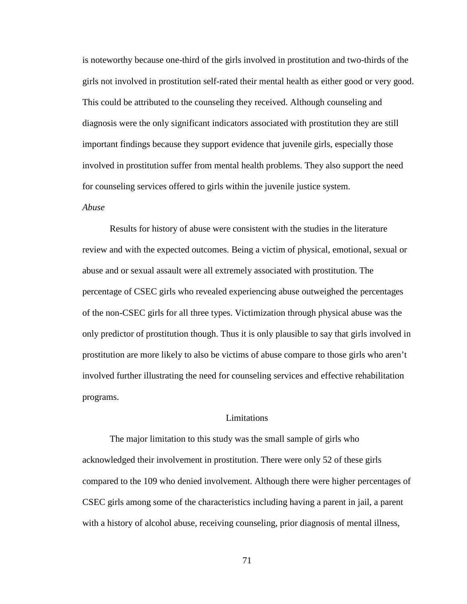is noteworthy because one-third of the girls involved in prostitution and two-thirds of the girls not involved in prostitution self-rated their mental health as either good or very good. This could be attributed to the counseling they received. Although counseling and diagnosis were the only significant indicators associated with prostitution they are still important findings because they support evidence that juvenile girls, especially those involved in prostitution suffer from mental health problems. They also support the need for counseling services offered to girls within the juvenile justice system.

#### *Abuse*

Results for history of abuse were consistent with the studies in the literature review and with the expected outcomes. Being a victim of physical, emotional, sexual or abuse and or sexual assault were all extremely associated with prostitution. The percentage of CSEC girls who revealed experiencing abuse outweighed the percentages of the non-CSEC girls for all three types. Victimization through physical abuse was the only predictor of prostitution though. Thus it is only plausible to say that girls involved in prostitution are more likely to also be victims of abuse compare to those girls who aren't involved further illustrating the need for counseling services and effective rehabilitation programs.

#### Limitations

 The major limitation to this study was the small sample of girls who acknowledged their involvement in prostitution. There were only 52 of these girls compared to the 109 who denied involvement. Although there were higher percentages of CSEC girls among some of the characteristics including having a parent in jail, a parent with a history of alcohol abuse, receiving counseling, prior diagnosis of mental illness,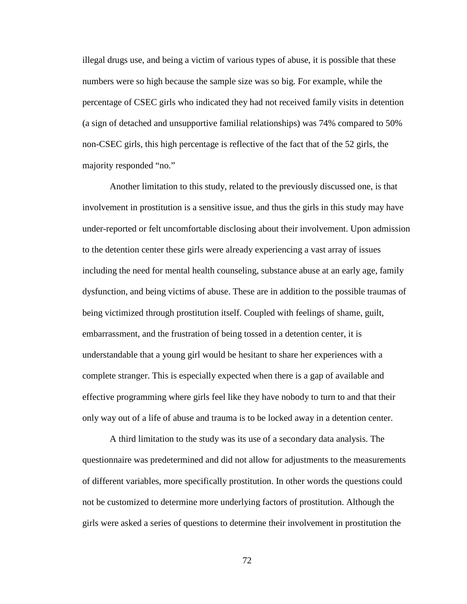illegal drugs use, and being a victim of various types of abuse, it is possible that these numbers were so high because the sample size was so big. For example, while the percentage of CSEC girls who indicated they had not received family visits in detention (a sign of detached and unsupportive familial relationships) was 74% compared to 50% non-CSEC girls, this high percentage is reflective of the fact that of the 52 girls, the majority responded "no."

 Another limitation to this study, related to the previously discussed one, is that involvement in prostitution is a sensitive issue, and thus the girls in this study may have under-reported or felt uncomfortable disclosing about their involvement. Upon admission to the detention center these girls were already experiencing a vast array of issues including the need for mental health counseling, substance abuse at an early age, family dysfunction, and being victims of abuse. These are in addition to the possible traumas of being victimized through prostitution itself. Coupled with feelings of shame, guilt, embarrassment, and the frustration of being tossed in a detention center, it is understandable that a young girl would be hesitant to share her experiences with a complete stranger. This is especially expected when there is a gap of available and effective programming where girls feel like they have nobody to turn to and that their only way out of a life of abuse and trauma is to be locked away in a detention center.

 A third limitation to the study was its use of a secondary data analysis. The questionnaire was predetermined and did not allow for adjustments to the measurements of different variables, more specifically prostitution. In other words the questions could not be customized to determine more underlying factors of prostitution. Although the girls were asked a series of questions to determine their involvement in prostitution the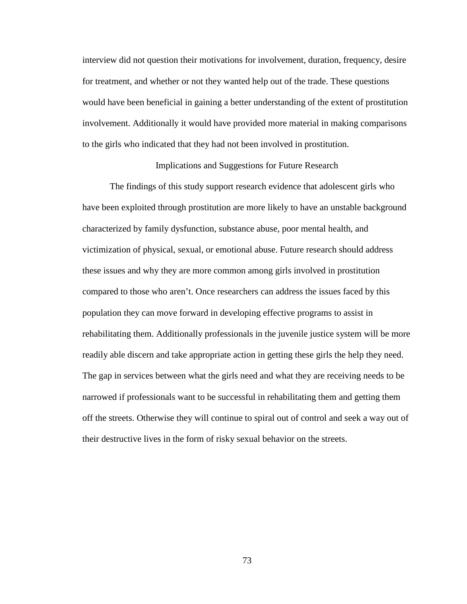interview did not question their motivations for involvement, duration, frequency, desire for treatment, and whether or not they wanted help out of the trade. These questions would have been beneficial in gaining a better understanding of the extent of prostitution involvement. Additionally it would have provided more material in making comparisons to the girls who indicated that they had not been involved in prostitution.

#### Implications and Suggestions for Future Research

 The findings of this study support research evidence that adolescent girls who have been exploited through prostitution are more likely to have an unstable background characterized by family dysfunction, substance abuse, poor mental health, and victimization of physical, sexual, or emotional abuse. Future research should address these issues and why they are more common among girls involved in prostitution compared to those who aren't. Once researchers can address the issues faced by this population they can move forward in developing effective programs to assist in rehabilitating them. Additionally professionals in the juvenile justice system will be more readily able discern and take appropriate action in getting these girls the help they need. The gap in services between what the girls need and what they are receiving needs to be narrowed if professionals want to be successful in rehabilitating them and getting them off the streets. Otherwise they will continue to spiral out of control and seek a way out of their destructive lives in the form of risky sexual behavior on the streets.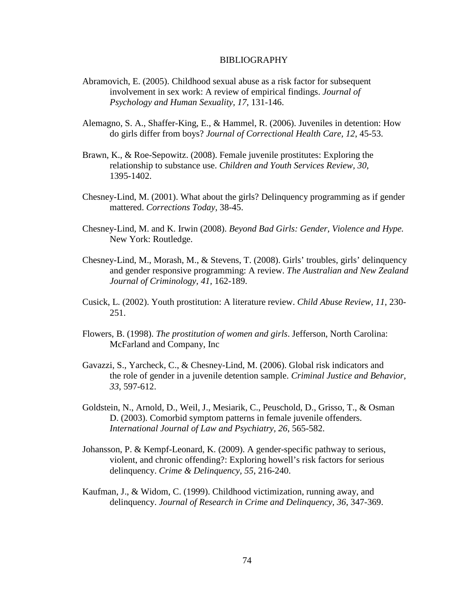#### BIBLIOGRAPHY

- Abramovich, E. (2005). Childhood sexual abuse as a risk factor for subsequent involvement in sex work: A review of empirical findings. *Journal of Psychology and Human Sexuality, 17*, 131-146.
- Alemagno, S. A., Shaffer-King, E., & Hammel, R. (2006). Juveniles in detention: How do girls differ from boys? *Journal of Correctional Health Care, 12*, 45-53.
- Brawn, K., & Roe-Sepowitz. (2008). Female juvenile prostitutes: Exploring the relationship to substance use. *Children and Youth Services Review, 30*, 1395-1402.
- Chesney-Lind, M. (2001). What about the girls? Delinquency programming as if gender mattered. *Corrections Today*, 38-45.
- Chesney-Lind, M. and K. Irwin (2008). *Beyond Bad Girls: Gender, Violence and Hype.*  New York: Routledge.
- Chesney-Lind, M., Morash, M., & Stevens, T. (2008). Girls' troubles, girls' delinquency and gender responsive programming: A review. *The Australian and New Zealand Journal of Criminology, 41,* 162-189.
- Cusick, L. (2002). Youth prostitution: A literature review. *Child Abuse Review, 11*, 230- 251.
- Flowers, B. (1998). *The prostitution of women and girls*. Jefferson, North Carolina: McFarland and Company, Inc
- Gavazzi, S., Yarcheck, C., & Chesney-Lind, M. (2006). Global risk indicators and the role of gender in a juvenile detention sample. *Criminal Justice and Behavior, 33*, 597-612.
- Goldstein, N., Arnold, D., Weil, J., Mesiarik, C., Peuschold, D., Grisso, T., & Osman D. (2003). Comorbid symptom patterns in female juvenile offenders. *International Journal of Law and Psychiatry, 26*, 565-582.
- Johansson, P. & Kempf-Leonard, K. (2009). A gender-specific pathway to serious, violent, and chronic offending?: Exploring howell's risk factors for serious delinquency. *Crime & Delinquency, 55*, 216-240.
- Kaufman, J., & Widom, C. (1999). Childhood victimization, running away, and delinquency. *Journal of Research in Crime and Delinquency, 36*, 347-369.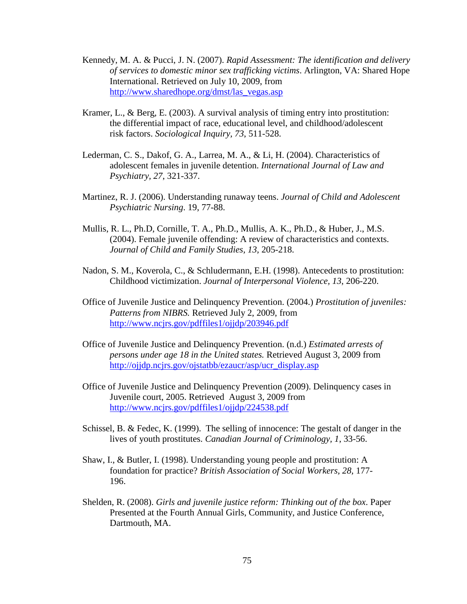- Kennedy, M. A. & Pucci, J. N. (2007). *Rapid Assessment: The identification and delivery of services to domestic minor sex trafficking victims*. Arlington, VA: Shared Hope International. Retrieved on July 10, 2009, from http://www.sharedhope.org/dmst/las\_vegas.asp
- Kramer, L., & Berg, E. (2003). A survival analysis of timing entry into prostitution: the differential impact of race, educational level, and childhood/adolescent risk factors. *Sociological Inquiry, 73*, 511-528.
- Lederman, C. S., Dakof, G. A., Larrea, M. A., & Li, H. (2004). Characteristics of adolescent females in juvenile detention. *International Journal of Law and Psychiatry, 27*, 321-337.
- Martinez, R. J. (2006). Understanding runaway teens. *Journal of Child and Adolescent Psychiatric Nursing*. 19, 77-88.
- Mullis, R. L., Ph.D, Cornille, T. A., Ph.D., Mullis, A. K., Ph.D., & Huber, J., M.S. (2004). Female juvenile offending: A review of characteristics and contexts. *Journal of Child and Family Studies, 13,* 205-218.
- Nadon, S. M., Koverola, C., & Schludermann, E.H. (1998). Antecedents to prostitution: Childhood victimization. *Journal of Interpersonal Violence, 13*, 206-220.
- Office of Juvenile Justice and Delinquency Prevention. (2004.) *Prostitution of juveniles: Patterns from NIBRS.* Retrieved July 2, 2009, from http://www.ncjrs.gov/pdffiles1/ojjdp/203946.pdf
- Office of Juvenile Justice and Delinquency Prevention. (n.d.) *Estimated arrests of persons under age 18 in the United states.* Retrieved August 3, 2009 from http://ojjdp.ncjrs.gov/ojstatbb/ezaucr/asp/ucr\_display.asp
- Office of Juvenile Justice and Delinquency Prevention (2009). Delinquency cases in Juvenile court, 2005. Retrieved August 3, 2009 from http://www.ncjrs.gov/pdffiles1/ojjdp/224538.pdf
- Schissel, B. & Fedec, K. (1999). The selling of innocence: The gestalt of danger in the lives of youth prostitutes. *Canadian Journal of Criminology, 1*, 33-56.
- Shaw, I., & Butler, I. (1998). Understanding young people and prostitution: A foundation for practice? *British Association of Social Workers, 28,* 177- 196.
- Shelden, R. (2008). *Girls and juvenile justice reform: Thinking out of the box*. Paper Presented at the Fourth Annual Girls, Community, and Justice Conference, Dartmouth, MA.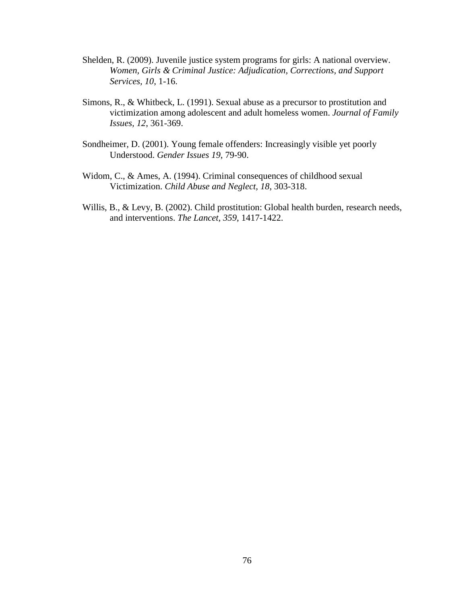- Shelden, R. (2009). Juvenile justice system programs for girls: A national overview. *Women, Girls & Criminal Justice: Adjudication, Corrections, and Support Services, 10*, 1-16.
- Simons, R., & Whitbeck, L. (1991). Sexual abuse as a precursor to prostitution and victimization among adolescent and adult homeless women. *Journal of Family Issues, 12*, 361-369.
- Sondheimer, D. (2001). Young female offenders: Increasingly visible yet poorly Understood. *Gender Issues 19*, 79-90.
- Widom, C., & Ames, A. (1994). Criminal consequences of childhood sexual Victimization. *Child Abuse and Neglect, 18*, 303-318.
- Willis, B., & Levy, B. (2002). Child prostitution: Global health burden, research needs, and interventions. *The Lancet, 359*, 1417-1422.